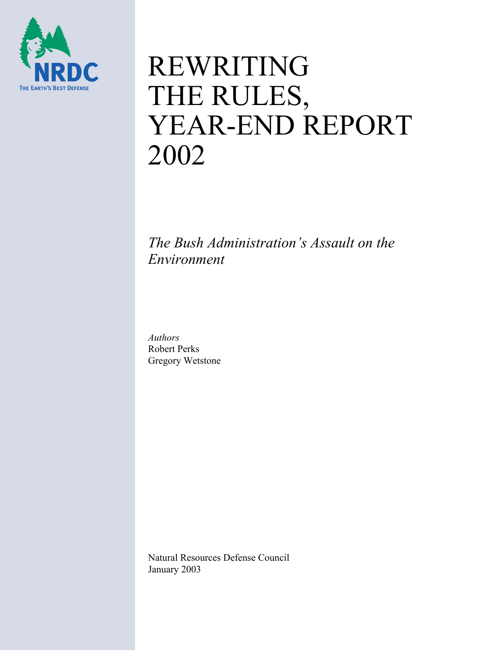

# REWRITING THE RULES, YEAR-END REPORT 2002

*The Bush Administration's Assault on the Environment* 

*Authors*  Robert Perks Gregory Wetstone

Natural Resources Defense Council January 2003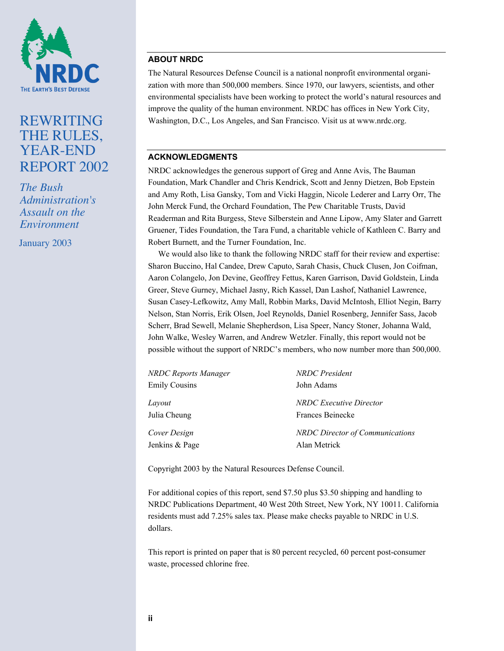

# REWRITING THE RULES, YEAR-END REPORT 2002

*The Bush Administration's Assault on the Environment*

January 2003

# **ABOUT NRDC**

The Natural Resources Defense Council is a national nonprofit environmental organization with more than 500,000 members. Since 1970, our lawyers, scientists, and other environmental specialists have been working to protect the world's natural resources and improve the quality of the human environment. NRDC has offices in New York City, Washington, D.C., Los Angeles, and San Francisco. Visit us at www.nrdc.org.

## **ACKNOWLEDGMENTS**

NRDC acknowledges the generous support of Greg and Anne Avis, The Bauman Foundation, Mark Chandler and Chris Kendrick, Scott and Jenny Dietzen, Bob Epstein and Amy Roth, Lisa Gansky, Tom and Vicki Haggin, Nicole Lederer and Larry Orr, The John Merck Fund, the Orchard Foundation, The Pew Charitable Trusts, David Readerman and Rita Burgess, Steve Silberstein and Anne Lipow, Amy Slater and Garrett Gruener, Tides Foundation, the Tara Fund, a charitable vehicle of Kathleen C. Barry and Robert Burnett, and the Turner Foundation, Inc.

We would also like to thank the following NRDC staff for their review and expertise: Sharon Buccino, Hal Candee, Drew Caputo, Sarah Chasis, Chuck Clusen, Jon Coifman, Aaron Colangelo, Jon Devine, Geoffrey Fettus, Karen Garrison, David Goldstein, Linda Greer, Steve Gurney, Michael Jasny, Rich Kassel, Dan Lashof, Nathaniel Lawrence, Susan Casey-Lefkowitz, Amy Mall, Robbin Marks, David McIntosh, Elliot Negin, Barry Nelson, Stan Norris, Erik Olsen, Joel Reynolds, Daniel Rosenberg, Jennifer Sass, Jacob Scherr, Brad Sewell, Melanie Shepherdson, Lisa Speer, Nancy Stoner, Johanna Wald, John Walke, Wesley Warren, and Andrew Wetzler. Finally, this report would not be possible without the support of NRDC's members, who now number more than 500,000.

| <b>NRDC Reports Manager</b> | <b>NRDC</b> President                  |
|-----------------------------|----------------------------------------|
| <b>Emily Cousins</b>        | John Adams                             |
| Layout                      | <b>NRDC</b> Executive Director         |
| Julia Cheung                | Frances Beinecke                       |
| Cover Design                | <b>NRDC</b> Director of Communications |
| Jenkins & Page              | Alan Metrick                           |

Copyright 2003 by the Natural Resources Defense Council.

For additional copies of this report, send \$7.50 plus \$3.50 shipping and handling to NRDC Publications Department, 40 West 20th Street, New York, NY 10011. California residents must add 7.25% sales tax. Please make checks payable to NRDC in U.S. dollars.

This report is printed on paper that is 80 percent recycled, 60 percent post-consumer waste, processed chlorine free.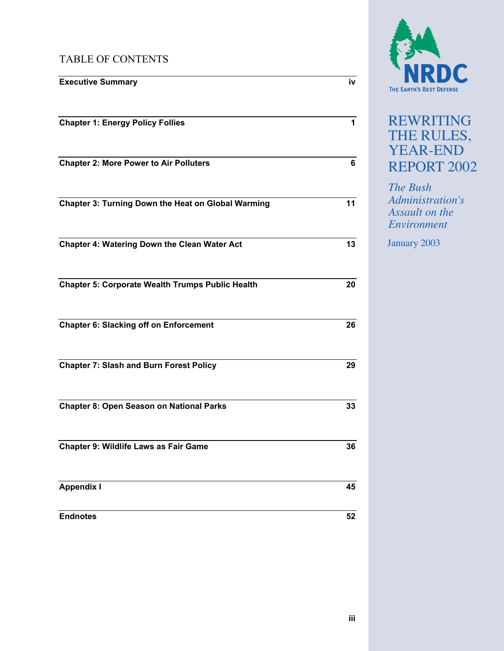# TABLE OF CONTENTS

| <b>Executive Summary</b>                                | iv |
|---------------------------------------------------------|----|
| <b>Chapter 1: Energy Policy Follies</b>                 | 1  |
| <b>Chapter 2: More Power to Air Polluters</b>           | 6  |
| Chapter 3: Turning Down the Heat on Global Warming      | 11 |
| <b>Chapter 4: Watering Down the Clean Water Act</b>     | 13 |
| <b>Chapter 5: Corporate Wealth Trumps Public Health</b> | 20 |
| <b>Chapter 6: Slacking off on Enforcement</b>           | 26 |
| <b>Chapter 7: Slash and Burn Forest Policy</b>          | 29 |
| <b>Chapter 8: Open Season on National Parks</b>         | 33 |
| Chapter 9: Wildlife Laws as Fair Game                   | 36 |
| <b>Appendix I</b>                                       | 45 |
| <b>Endnotes</b>                                         | 52 |



# REWRITING THE RULES, YEAR-END REPORT 2002

*The Bush Administration's Assault on the Environment*

January 2003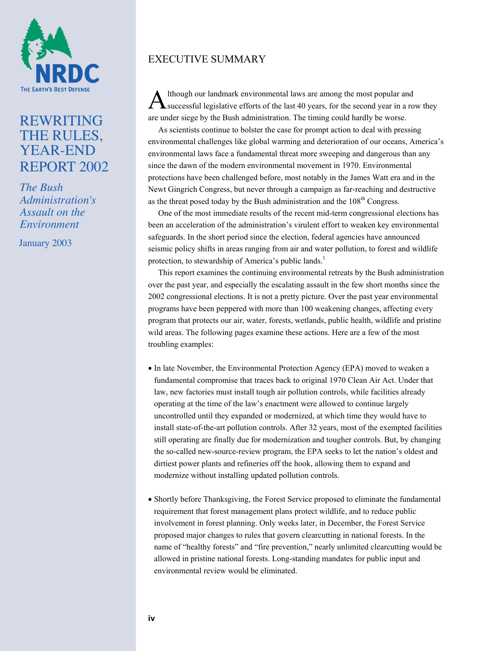

# REWRITING THE RULES, YEAR-END REPORT 2002

*The Bush Administration's Assault on the Environment*

January 2003

# EXECUTIVE SUMMARY

lthough our landmark environmental laws are among the most popular and A lthough our landmark environmental laws are among the most popular and<br>
Successful legislative efforts of the last 40 years, for the second year in a row they are under siege by the Bush administration. The timing could hardly be worse.

As scientists continue to bolster the case for prompt action to deal with pressing environmental challenges like global warming and deterioration of our oceans, America's environmental laws face a fundamental threat more sweeping and dangerous than any since the dawn of the modern environmental movement in 1970. Environmental protections have been challenged before, most notably in the James Watt era and in the Newt Gingrich Congress, but never through a campaign as far-reaching and destructive as the threat posed today by the Bush administration and the  $108<sup>th</sup>$  Congress.

One of the most immediate results of the recent mid-term congressional elections has been an acceleration of the administration's virulent effort to weaken key environmental safeguards. In the short period since the election, federal agencies have announced seismic policy shifts in areas ranging from air and water pollution, to forest and wildlife protection, to stewardship of America's public lands.<sup>1</sup>

This report examines the continuing environmental retreats by the Bush administration over the past year, and especially the escalating assault in the few short months since the 2002 congressional elections. It is not a pretty picture. Over the past year environmental programs have been peppered with more than 100 weakening changes, affecting every program that protects our air, water, forests, wetlands, public health, wildlife and pristine wild areas. The following pages examine these actions. Here are a few of the most troubling examples:

- In late November, the Environmental Protection Agency (EPA) moved to weaken a fundamental compromise that traces back to original 1970 Clean Air Act. Under that law, new factories must install tough air pollution controls, while facilities already operating at the time of the law's enactment were allowed to continue largely uncontrolled until they expanded or modernized, at which time they would have to install state-of-the-art pollution controls. After 32 years, most of the exempted facilities still operating are finally due for modernization and tougher controls. But, by changing the so-called new-source-review program, the EPA seeks to let the nation's oldest and dirtiest power plants and refineries off the hook, allowing them to expand and modernize without installing updated pollution controls.
- Shortly before Thanksgiving, the Forest Service proposed to eliminate the fundamental requirement that forest management plans protect wildlife, and to reduce public involvement in forest planning. Only weeks later, in December, the Forest Service proposed major changes to rules that govern clearcutting in national forests. In the name of "healthy forests" and "fire prevention," nearly unlimited clearcutting would be allowed in pristine national forests. Long-standing mandates for public input and environmental review would be eliminated.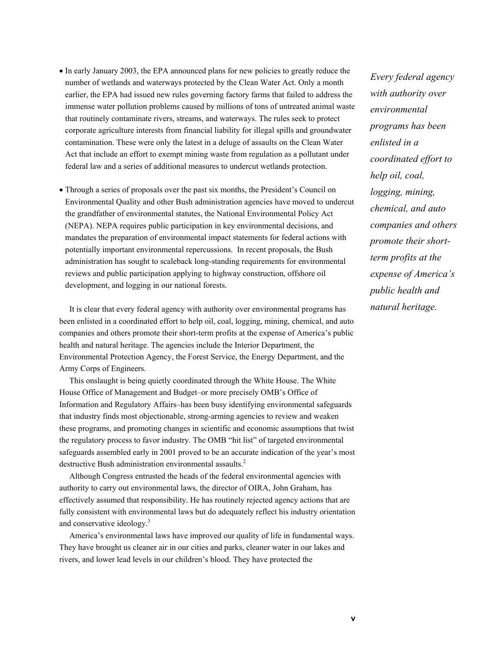- In early January 2003, the EPA announced plans for new policies to greatly reduce the number of wetlands and waterways protected by the Clean Water Act. Only a month earlier, the EPA had issued new rules governing factory farms that failed to address the immense water pollution problems caused by millions of tons of untreated animal waste that routinely contaminate rivers, streams, and waterways. The rules seek to protect corporate agriculture interests from financial liability for illegal spills and groundwater contamination. These were only the latest in a deluge of assaults on the Clean Water Act that include an effort to exempt mining waste from regulation as a pollutant under federal law and a series of additional measures to undercut wetlands protection.
- Through a series of proposals over the past six months, the President's Council on Environmental Quality and other Bush administration agencies have moved to undercut the grandfather of environmental statutes, the National Environmental Policy Act (NEPA). NEPA requires public participation in key environmental decisions, and mandates the preparation of environmental impact statements for federal actions with potentially important environmental repercussions. In recent proposals, the Bush administration has sought to scaleback long-standing requirements for environmental reviews and public participation applying to highway construction, offshore oil development, and logging in our national forests.

It is clear that every federal agency with authority over environmental programs has been enlisted in a coordinated effort to help oil, coal, logging, mining, chemical, and auto companies and others promote their short-term profits at the expense of America's public health and natural heritage. The agencies include the Interior Department, the Environmental Protection Agency, the Forest Service, the Energy Department, and the Army Corps of Engineers.

This onslaught is being quietly coordinated through the White House. The White House Office of Management and Budget–or more precisely OMB's Office of Information and Regulatory Affairs–has been busy identifying environmental safeguards that industry finds most objectionable, strong-arming agencies to review and weaken these programs, and promoting changes in scientific and economic assumptions that twist the regulatory process to favor industry. The OMB "hit list" of targeted environmental safeguards assembled early in 2001 proved to be an accurate indication of the year's most destructive Bush administration environmental assaults.<sup>2</sup>

Although Congress entrusted the heads of the federal environmental agencies with authority to carry out environmental laws, the director of OIRA, John Graham, has effectively assumed that responsibility. He has routinely rejected agency actions that are fully consistent with environmental laws but do adequately reflect his industry orientation and conservative ideology.<sup>3</sup>

America's environmental laws have improved our quality of life in fundamental ways. They have brought us cleaner air in our cities and parks, cleaner water in our lakes and rivers, and lower lead levels in our children's blood. They have protected the

*Every federal agency with authority over environmental programs has been enlisted in a coordinated effort to help oil, coal, logging, mining, chemical, and auto companies and others promote their shortterm profits at the expense of America's public health and natural heritage.*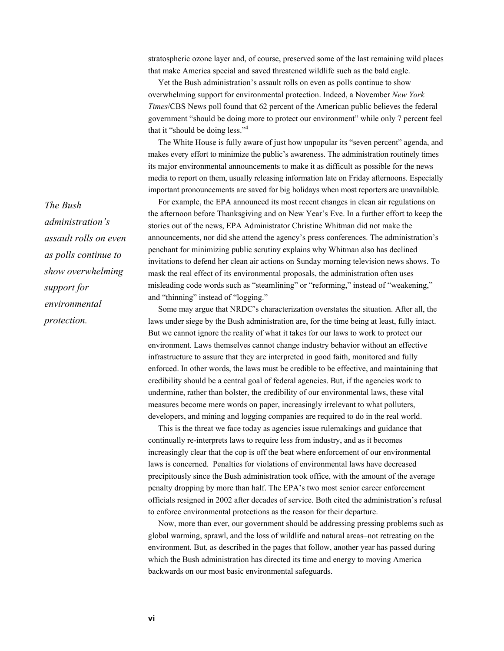stratospheric ozone layer and, of course, preserved some of the last remaining wild places that make America special and saved threatened wildlife such as the bald eagle.

Yet the Bush administration's assault rolls on even as polls continue to show overwhelming support for environmental protection. Indeed, a November *New York Times*/CBS News poll found that 62 percent of the American public believes the federal government "should be doing more to protect our environment" while only 7 percent feel that it "should be doing less."4

The White House is fully aware of just how unpopular its "seven percent" agenda, and makes every effort to minimize the public's awareness. The administration routinely times its major environmental announcements to make it as difficult as possible for the news media to report on them, usually releasing information late on Friday afternoons. Especially important pronouncements are saved for big holidays when most reporters are unavailable.

For example, the EPA announced its most recent changes in clean air regulations on the afternoon before Thanksgiving and on New Year's Eve. In a further effort to keep the stories out of the news, EPA Administrator Christine Whitman did not make the announcements, nor did she attend the agency's press conferences. The administration's penchant for minimizing public scrutiny explains why Whitman also has declined invitations to defend her clean air actions on Sunday morning television news shows. To mask the real effect of its environmental proposals, the administration often uses misleading code words such as "steamlining" or "reforming," instead of "weakening," and "thinning" instead of "logging."

Some may argue that NRDC's characterization overstates the situation. After all, the laws under siege by the Bush administration are, for the time being at least, fully intact. But we cannot ignore the reality of what it takes for our laws to work to protect our environment. Laws themselves cannot change industry behavior without an effective infrastructure to assure that they are interpreted in good faith, monitored and fully enforced. In other words, the laws must be credible to be effective, and maintaining that credibility should be a central goal of federal agencies. But, if the agencies work to undermine, rather than bolster, the credibility of our environmental laws, these vital measures become mere words on paper, increasingly irrelevant to what polluters, developers, and mining and logging companies are required to do in the real world.

This is the threat we face today as agencies issue rulemakings and guidance that continually re-interprets laws to require less from industry, and as it becomes increasingly clear that the cop is off the beat where enforcement of our environmental laws is concerned. Penalties for violations of environmental laws have decreased precipitously since the Bush administration took office, with the amount of the average penalty dropping by more than half. The EPA's two most senior career enforcement officials resigned in 2002 after decades of service. Both cited the administration's refusal to enforce environmental protections as the reason for their departure.

Now, more than ever, our government should be addressing pressing problems such as global warming, sprawl, and the loss of wildlife and natural areas–not retreating on the environment. But, as described in the pages that follow, another year has passed during which the Bush administration has directed its time and energy to moving America backwards on our most basic environmental safeguards.

*The Bush administration's assault rolls on even as polls continue to show overwhelming support for environmental protection.*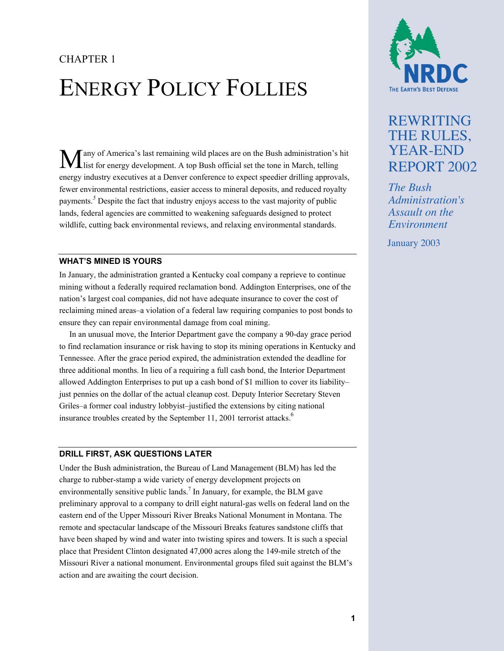# CHAPTER 1 ENERGY POLICY FOLLIES

any of America's last remaining wild places are on the Bush administration's hit Many of America's last remaining wild places are on the Bush administration's last for energy development. A top Bush official set the tone in March, telling energy industry executives at a Denver conference to expect speedier drilling approvals, fewer environmental restrictions, easier access to mineral deposits, and reduced royalty payments.*<sup>5</sup>* Despite the fact that industry enjoys access to the vast majority of public lands, federal agencies are committed to weakening safeguards designed to protect wildlife, cutting back environmental reviews, and relaxing environmental standards.

#### **WHAT'S MINED IS YOURS**

In January, the administration granted a Kentucky coal company a reprieve to continue mining without a federally required reclamation bond. Addington Enterprises, one of the nation's largest coal companies, did not have adequate insurance to cover the cost of reclaiming mined areas–a violation of a federal law requiring companies to post bonds to ensure they can repair environmental damage from coal mining.

In an unusual move, the Interior Department gave the company a 90-day grace period to find reclamation insurance or risk having to stop its mining operations in Kentucky and Tennessee. After the grace period expired, the administration extended the deadline for three additional months. In lieu of a requiring a full cash bond, the Interior Department allowed Addington Enterprises to put up a cash bond of \$1 million to cover its liability– just pennies on the dollar of the actual cleanup cost. Deputy Interior Secretary Steven Griles–a former coal industry lobbyist–justified the extensions by citing national insurance troubles created by the September 11, 2001 terrorist attacks.<sup>6</sup>

#### **DRILL FIRST, ASK QUESTIONS LATER**

Under the Bush administration, the Bureau of Land Management (BLM) has led the charge to rubber-stamp a wide variety of energy development projects on environmentally sensitive public lands.<sup>7</sup> In January, for example, the BLM gave preliminary approval to a company to drill eight natural-gas wells on federal land on the eastern end of the Upper Missouri River Breaks National Monument in Montana. The remote and spectacular landscape of the Missouri Breaks features sandstone cliffs that have been shaped by wind and water into twisting spires and towers. It is such a special place that President Clinton designated 47,000 acres along the 149-mile stretch of the Missouri River a national monument. Environmental groups filed suit against the BLM's action and are awaiting the court decision.



# REWRITING THE RULES, YEAR-END REPORT 2002

*The Bush Administration's Assault on the Environment*

January 2003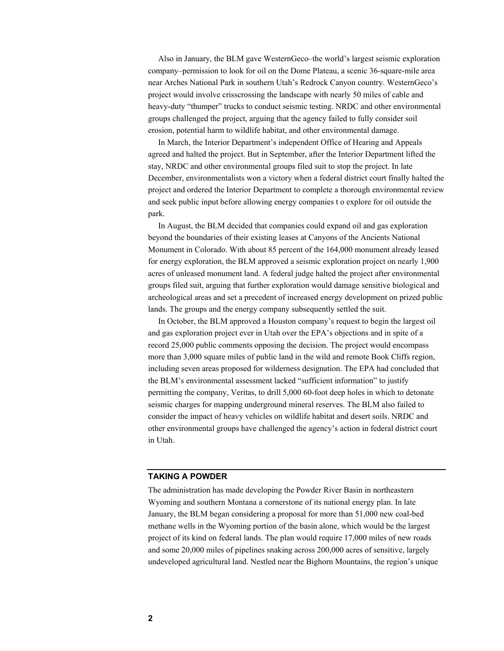Also in January, the BLM gave WesternGeco–the world's largest seismic exploration company–permission to look for oil on the Dome Plateau, a scenic 36-square-mile area near Arches National Park in southern Utah's Redrock Canyon country. WesternGeco's project would involve crisscrossing the landscape with nearly 50 miles of cable and heavy-duty "thumper" trucks to conduct seismic testing. NRDC and other environmental groups challenged the project, arguing that the agency failed to fully consider soil erosion, potential harm to wildlife habitat, and other environmental damage.

In March, the Interior Department's independent Office of Hearing and Appeals agreed and halted the project. But in September, after the Interior Department lifted the stay, NRDC and other environmental groups filed suit to stop the project. In late December, environmentalists won a victory when a federal district court finally halted the project and ordered the Interior Department to complete a thorough environmental review and seek public input before allowing energy companies t o explore for oil outside the park.

In August, the BLM decided that companies could expand oil and gas exploration beyond the boundaries of their existing leases at Canyons of the Ancients National Monument in Colorado. With about 85 percent of the 164,000 monument already leased for energy exploration, the BLM approved a seismic exploration project on nearly 1,900 acres of unleased monument land. A federal judge halted the project after environmental groups filed suit, arguing that further exploration would damage sensitive biological and archeological areas and set a precedent of increased energy development on prized public lands. The groups and the energy company subsequently settled the suit.

In October, the BLM approved a Houston company's request to begin the largest oil and gas exploration project ever in Utah over the EPA's objections and in spite of a record 25,000 public comments opposing the decision. The project would encompass more than 3,000 square miles of public land in the wild and remote Book Cliffs region, including seven areas proposed for wilderness designation. The EPA had concluded that the BLM's environmental assessment lacked "sufficient information" to justify permitting the company, Veritas, to drill 5,000 60-foot deep holes in which to detonate seismic charges for mapping underground mineral reserves. The BLM also failed to consider the impact of heavy vehicles on wildlife habitat and desert soils. NRDC and other environmental groups have challenged the agency's action in federal district court in Utah.

#### **TAKING A POWDER**

The administration has made developing the Powder River Basin in northeastern Wyoming and southern Montana a cornerstone of its national energy plan. In late January, the BLM began considering a proposal for more than 51,000 new coal-bed methane wells in the Wyoming portion of the basin alone, which would be the largest project of its kind on federal lands. The plan would require 17,000 miles of new roads and some 20,000 miles of pipelines snaking across 200,000 acres of sensitive, largely undeveloped agricultural land. Nestled near the Bighorn Mountains, the region's unique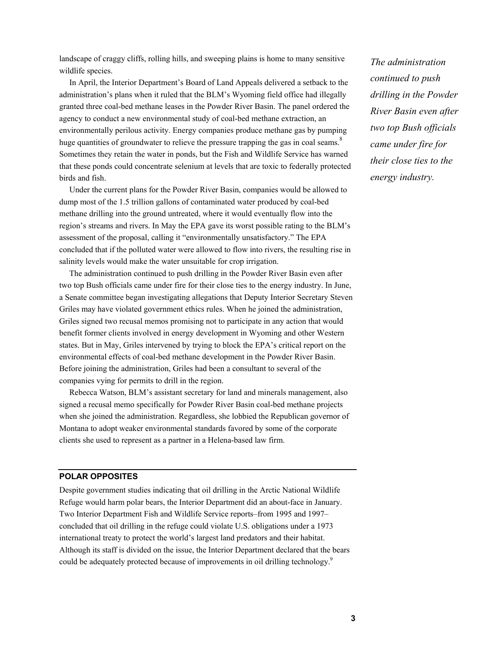landscape of craggy cliffs, rolling hills, and sweeping plains is home to many sensitive wildlife species.

In April, the Interior Department's Board of Land Appeals delivered a setback to the administration's plans when it ruled that the BLM's Wyoming field office had illegally granted three coal-bed methane leases in the Powder River Basin. The panel ordered the agency to conduct a new environmental study of coal-bed methane extraction, an environmentally perilous activity. Energy companies produce methane gas by pumping huge quantities of groundwater to relieve the pressure trapping the gas in coal seams.<sup>8</sup> Sometimes they retain the water in ponds, but the Fish and Wildlife Service has warned that these ponds could concentrate selenium at levels that are toxic to federally protected birds and fish.

Under the current plans for the Powder River Basin, companies would be allowed to dump most of the 1.5 trillion gallons of contaminated water produced by coal-bed methane drilling into the ground untreated, where it would eventually flow into the region's streams and rivers. In May the EPA gave its worst possible rating to the BLM's assessment of the proposal, calling it "environmentally unsatisfactory." The EPA concluded that if the polluted water were allowed to flow into rivers, the resulting rise in salinity levels would make the water unsuitable for crop irrigation.

The administration continued to push drilling in the Powder River Basin even after two top Bush officials came under fire for their close ties to the energy industry. In June, a Senate committee began investigating allegations that Deputy Interior Secretary Steven Griles may have violated government ethics rules. When he joined the administration, Griles signed two recusal memos promising not to participate in any action that would benefit former clients involved in energy development in Wyoming and other Western states. But in May, Griles intervened by trying to block the EPA's critical report on the environmental effects of coal-bed methane development in the Powder River Basin. Before joining the administration, Griles had been a consultant to several of the companies vying for permits to drill in the region.

Rebecca Watson, BLM's assistant secretary for land and minerals management, also signed a recusal memo specifically for Powder River Basin coal-bed methane projects when she joined the administration. Regardless, she lobbied the Republican governor of Montana to adopt weaker environmental standards favored by some of the corporate clients she used to represent as a partner in a Helena-based law firm.

#### **POLAR OPPOSITES**

Despite government studies indicating that oil drilling in the Arctic National Wildlife Refuge would harm polar bears, the Interior Department did an about-face in January. Two Interior Department Fish and Wildlife Service reports–from 1995 and 1997– concluded that oil drilling in the refuge could violate U.S. obligations under a 1973 international treaty to protect the world's largest land predators and their habitat. Although its staff is divided on the issue, the Interior Department declared that the bears could be adequately protected because of improvements in oil drilling technology.<sup>9</sup>

*The administration continued to push drilling in the Powder River Basin even after two top Bush officials came under fire for their close ties to the energy industry.*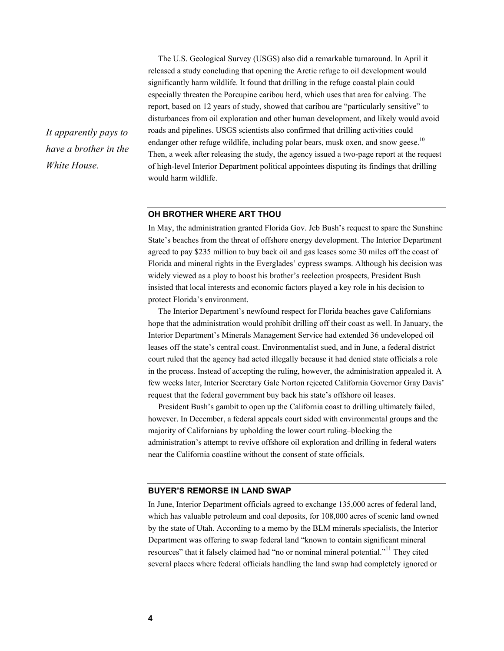The U.S. Geological Survey (USGS) also did a remarkable turnaround. In April it released a study concluding that opening the Arctic refuge to oil development would significantly harm wildlife. It found that drilling in the refuge coastal plain could especially threaten the Porcupine caribou herd, which uses that area for calving. The report, based on 12 years of study, showed that caribou are "particularly sensitive" to disturbances from oil exploration and other human development, and likely would avoid roads and pipelines. USGS scientists also confirmed that drilling activities could endanger other refuge wildlife, including polar bears, musk oxen, and snow geese.<sup>10</sup> Then, a week after releasing the study, the agency issued a two-page report at the request of high-level Interior Department political appointees disputing its findings that drilling would harm wildlife.

#### **OH BROTHER WHERE ART THOU**

In May, the administration granted Florida Gov. Jeb Bush's request to spare the Sunshine State's beaches from the threat of offshore energy development. The Interior Department agreed to pay \$235 million to buy back oil and gas leases some 30 miles off the coast of Florida and mineral rights in the Everglades' cypress swamps. Although his decision was widely viewed as a ploy to boost his brother's reelection prospects, President Bush insisted that local interests and economic factors played a key role in his decision to protect Florida's environment.

The Interior Department's newfound respect for Florida beaches gave Californians hope that the administration would prohibit drilling off their coast as well. In January, the Interior Department's Minerals Management Service had extended 36 undeveloped oil leases off the state's central coast. Environmentalist sued, and in June, a federal district court ruled that the agency had acted illegally because it had denied state officials a role in the process. Instead of accepting the ruling, however, the administration appealed it. A few weeks later, Interior Secretary Gale Norton rejected California Governor Gray Davis' request that the federal government buy back his state's offshore oil leases.

President Bush's gambit to open up the California coast to drilling ultimately failed, however. In December, a federal appeals court sided with environmental groups and the majority of Californians by upholding the lower court ruling–blocking the administration's attempt to revive offshore oil exploration and drilling in federal waters near the California coastline without the consent of state officials.

#### **BUYER'S REMORSE IN LAND SWAP**

In June, Interior Department officials agreed to exchange 135,000 acres of federal land, which has valuable petroleum and coal deposits, for 108,000 acres of scenic land owned by the state of Utah. According to a memo by the BLM minerals specialists, the Interior Department was offering to swap federal land "known to contain significant mineral resources" that it falsely claimed had "no or nominal mineral potential."<sup>11</sup> They cited several places where federal officials handling the land swap had completely ignored or

*It apparently pays to have a brother in the White House.*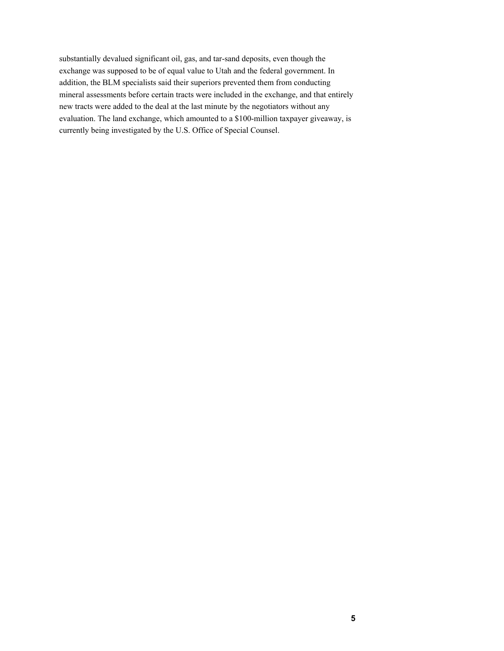substantially devalued significant oil, gas, and tar-sand deposits, even though the exchange was supposed to be of equal value to Utah and the federal government. In addition, the BLM specialists said their superiors prevented them from conducting mineral assessments before certain tracts were included in the exchange, and that entirely new tracts were added to the deal at the last minute by the negotiators without any evaluation. The land exchange, which amounted to a \$100-million taxpayer giveaway, is currently being investigated by the U.S. Office of Special Counsel.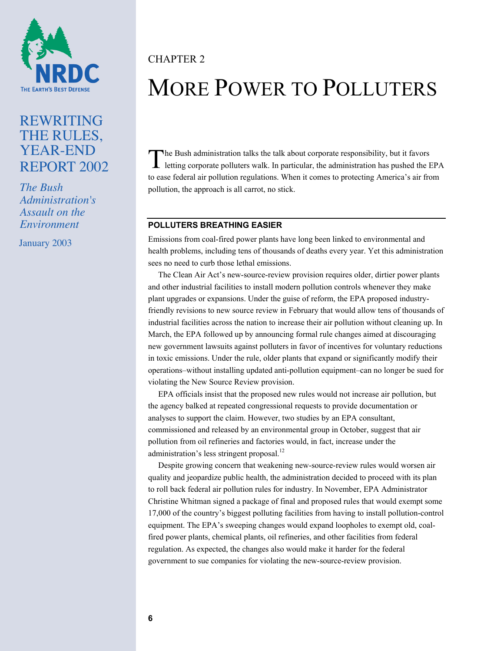

# REWRITING THE RULES, YEAR-END REPORT 2002

*The Bush Administration's Assault on the Environment*

January 2003

# CHAPTER 2

# MORE POWER TO POLLUTERS

The Bush administration talks the talk about corporate responsibility, but it favors letting corporate polluters walk. In particular, the administration has pushed the H letting corporate polluters walk. In particular, the administration has pushed the EPA to ease federal air pollution regulations. When it comes to protecting America's air from pollution, the approach is all carrot, no stick.

### **POLLUTERS BREATHING EASIER**

Emissions from coal-fired power plants have long been linked to environmental and health problems, including tens of thousands of deaths every year. Yet this administration sees no need to curb those lethal emissions.

The Clean Air Act's new-source-review provision requires older, dirtier power plants and other industrial facilities to install modern pollution controls whenever they make plant upgrades or expansions. Under the guise of reform, the EPA proposed industryfriendly revisions to new source review in February that would allow tens of thousands of industrial facilities across the nation to increase their air pollution without cleaning up. In March, the EPA followed up by announcing formal rule changes aimed at discouraging new government lawsuits against polluters in favor of incentives for voluntary reductions in toxic emissions. Under the rule, older plants that expand or significantly modify their operations–without installing updated anti-pollution equipment–can no longer be sued for violating the New Source Review provision.

EPA officials insist that the proposed new rules would not increase air pollution, but the agency balked at repeated congressional requests to provide documentation or analyses to support the claim. However, two studies by an EPA consultant, commissioned and released by an environmental group in October, suggest that air pollution from oil refineries and factories would, in fact, increase under the administration's less stringent proposal.<sup>12</sup>

Despite growing concern that weakening new-source-review rules would worsen air quality and jeopardize public health, the administration decided to proceed with its plan to roll back federal air pollution rules for industry. In November, EPA Administrator Christine Whitman signed a package of final and proposed rules that would exempt some 17,000 of the country's biggest polluting facilities from having to install pollution-control equipment. The EPA's sweeping changes would expand loopholes to exempt old, coalfired power plants, chemical plants, oil refineries, and other facilities from federal regulation. As expected, the changes also would make it harder for the federal government to sue companies for violating the new-source-review provision.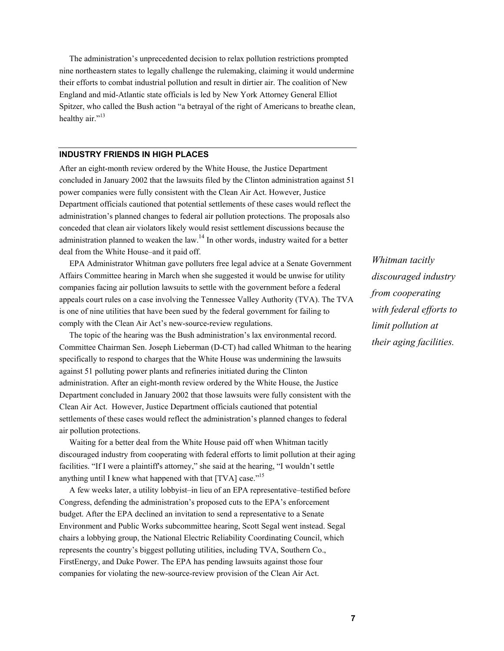The administration's unprecedented decision to relax pollution restrictions prompted nine northeastern states to legally challenge the rulemaking, claiming it would undermine their efforts to combat industrial pollution and result in dirtier air. The coalition of New England and mid-Atlantic state officials is led by New York Attorney General Elliot Spitzer, who called the Bush action "a betrayal of the right of Americans to breathe clean, healthy air."<sup>13</sup>

#### **INDUSTRY FRIENDS IN HIGH PLACES**

After an eight-month review ordered by the White House, the Justice Department concluded in January 2002 that the lawsuits filed by the Clinton administration against 51 power companies were fully consistent with the Clean Air Act. However, Justice Department officials cautioned that potential settlements of these cases would reflect the administration's planned changes to federal air pollution protections. The proposals also conceded that clean air violators likely would resist settlement discussions because the administration planned to weaken the law.<sup>14</sup> In other words, industry waited for a better deal from the White House–and it paid off.

EPA Administrator Whitman gave polluters free legal advice at a Senate Government Affairs Committee hearing in March when she suggested it would be unwise for utility companies facing air pollution lawsuits to settle with the government before a federal appeals court rules on a case involving the Tennessee Valley Authority (TVA). The TVA is one of nine utilities that have been sued by the federal government for failing to comply with the Clean Air Act's new-source-review regulations.

The topic of the hearing was the Bush administration's lax environmental record. Committee Chairman Sen. Joseph Lieberman (D-CT) had called Whitman to the hearing specifically to respond to charges that the White House was undermining the lawsuits against 51 polluting power plants and refineries initiated during the Clinton administration. After an eight-month review ordered by the White House, the Justice Department concluded in January 2002 that those lawsuits were fully consistent with the Clean Air Act. However, Justice Department officials cautioned that potential settlements of these cases would reflect the administration's planned changes to federal air pollution protections.

Waiting for a better deal from the White House paid off when Whitman tacitly discouraged industry from cooperating with federal efforts to limit pollution at their aging facilities. "If I were a plaintiff's attorney," she said at the hearing, "I wouldn't settle anything until I knew what happened with that [TVA] case."<sup>15</sup>

A few weeks later, a utility lobbyist–in lieu of an EPA representative–testified before Congress, defending the administration's proposed cuts to the EPA's enforcement budget. After the EPA declined an invitation to send a representative to a Senate Environment and Public Works subcommittee hearing, Scott Segal went instead. Segal chairs a lobbying group, the National Electric Reliability Coordinating Council, which represents the country's biggest polluting utilities, including TVA, Southern Co., FirstEnergy, and Duke Power. The EPA has pending lawsuits against those four companies for violating the new-source-review provision of the Clean Air Act.

*Whitman tacitly discouraged industry from cooperating with federal efforts to limit pollution at their aging facilities.*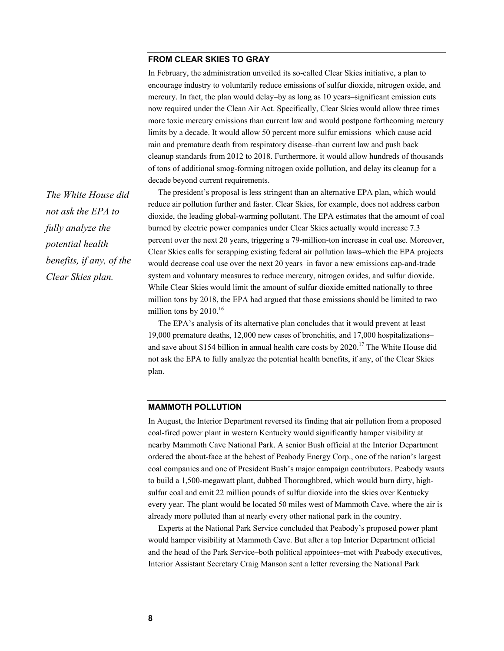#### **FROM CLEAR SKIES TO GRAY**

In February, the administration unveiled its so-called Clear Skies initiative, a plan to encourage industry to voluntarily reduce emissions of sulfur dioxide, nitrogen oxide, and mercury. In fact, the plan would delay–by as long as 10 years–significant emission cuts now required under the Clean Air Act. Specifically, Clear Skies would allow three times more toxic mercury emissions than current law and would postpone forthcoming mercury limits by a decade. It would allow 50 percent more sulfur emissions–which cause acid rain and premature death from respiratory disease–than current law and push back cleanup standards from 2012 to 2018. Furthermore, it would allow hundreds of thousands of tons of additional smog-forming nitrogen oxide pollution, and delay its cleanup for a decade beyond current requirements.

The president's proposal is less stringent than an alternative EPA plan, which would reduce air pollution further and faster. Clear Skies, for example, does not address carbon dioxide, the leading global-warming pollutant. The EPA estimates that the amount of coal burned by electric power companies under Clear Skies actually would increase 7.3 percent over the next 20 years, triggering a 79-million-ton increase in coal use. Moreover, Clear Skies calls for scrapping existing federal air pollution laws–which the EPA projects would decrease coal use over the next 20 years–in favor a new emissions cap-and-trade system and voluntary measures to reduce mercury, nitrogen oxides, and sulfur dioxide. While Clear Skies would limit the amount of sulfur dioxide emitted nationally to three million tons by 2018, the EPA had argued that those emissions should be limited to two million tons by  $2010^{16}$ 

The EPA's analysis of its alternative plan concludes that it would prevent at least 19,000 premature deaths, 12,000 new cases of bronchitis, and 17,000 hospitalizations– and save about \$154 billion in annual health care costs by  $2020$ .<sup>17</sup> The White House did not ask the EPA to fully analyze the potential health benefits, if any, of the Clear Skies plan.

## **MAMMOTH POLLUTION**

In August, the Interior Department reversed its finding that air pollution from a proposed coal-fired power plant in western Kentucky would significantly hamper visibility at nearby Mammoth Cave National Park. A senior Bush official at the Interior Department ordered the about-face at the behest of Peabody Energy Corp., one of the nation's largest coal companies and one of President Bush's major campaign contributors. Peabody wants to build a 1,500-megawatt plant, dubbed Thoroughbred, which would burn dirty, highsulfur coal and emit 22 million pounds of sulfur dioxide into the skies over Kentucky every year. The plant would be located 50 miles west of Mammoth Cave, where the air is already more polluted than at nearly every other national park in the country.

Experts at the National Park Service concluded that Peabody's proposed power plant would hamper visibility at Mammoth Cave. But after a top Interior Department official and the head of the Park Service–both political appointees–met with Peabody executives, Interior Assistant Secretary Craig Manson sent a letter reversing the National Park

*The White House did not ask the EPA to fully analyze the potential health benefits, if any, of the Clear Skies plan.*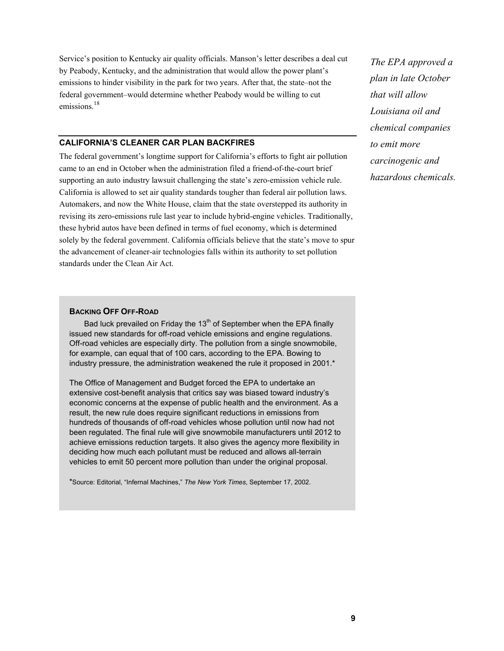Service's position to Kentucky air quality officials. Manson's letter describes a deal cut by Peabody, Kentucky, and the administration that would allow the power plant's emissions to hinder visibility in the park for two years. After that, the state–not the federal government–would determine whether Peabody would be willing to cut emissions<sup>18</sup>

### **CALIFORNIA'S CLEANER CAR PLAN BACKFIRES**

The federal government's longtime support for California's efforts to fight air pollution came to an end in October when the administration filed a friend-of-the-court brief supporting an auto industry lawsuit challenging the state's zero-emission vehicle rule. California is allowed to set air quality standards tougher than federal air pollution laws. Automakers, and now the White House, claim that the state overstepped its authority in revising its zero-emissions rule last year to include hybrid-engine vehicles. Traditionally, these hybrid autos have been defined in terms of fuel economy, which is determined solely by the federal government. California officials believe that the state's move to spur the advancement of cleaner-air technologies falls within its authority to set pollution standards under the Clean Air Act.

#### **BACKING OFF OFF-ROAD**

Bad luck prevailed on Friday the  $13<sup>th</sup>$  of September when the EPA finally issued new standards for off-road vehicle emissions and engine regulations. Off-road vehicles are especially dirty. The pollution from a single snowmobile, for example, can equal that of 100 cars, according to the EPA. Bowing to industry pressure, the administration weakened the rule it proposed in 2001.\*

The Office of Management and Budget forced the EPA to undertake an extensive cost-benefit analysis that critics say was biased toward industry's economic concerns at the expense of public health and the environment. As a result, the new rule does require significant reductions in emissions from hundreds of thousands of off-road vehicles whose pollution until now had not been regulated. The final rule will give snowmobile manufacturers until 2012 to achieve emissions reduction targets. It also gives the agency more flexibility in deciding how much each pollutant must be reduced and allows all-terrain vehicles to emit 50 percent more pollution than under the original proposal.

\*Source: Editorial, "Infernal Machines," *The New York Times*, September 17, 2002.

*The EPA approved a plan in late October that will allow Louisiana oil and chemical companies to emit more carcinogenic and hazardous chemicals.*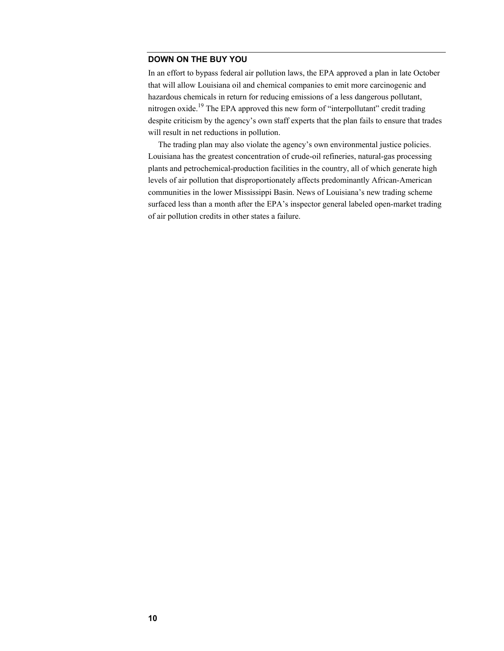### **DOWN ON THE BUY YOU**

In an effort to bypass federal air pollution laws, the EPA approved a plan in late October that will allow Louisiana oil and chemical companies to emit more carcinogenic and hazardous chemicals in return for reducing emissions of a less dangerous pollutant, nitrogen oxide.<sup>19</sup> The EPA approved this new form of "interpollutant" credit trading despite criticism by the agency's own staff experts that the plan fails to ensure that trades will result in net reductions in pollution.

The trading plan may also violate the agency's own environmental justice policies. Louisiana has the greatest concentration of crude-oil refineries, natural-gas processing plants and petrochemical-production facilities in the country, all of which generate high levels of air pollution that disproportionately affects predominantly African-American communities in the lower Mississippi Basin. News of Louisiana's new trading scheme surfaced less than a month after the EPA's inspector general labeled open-market trading of air pollution credits in other states a failure.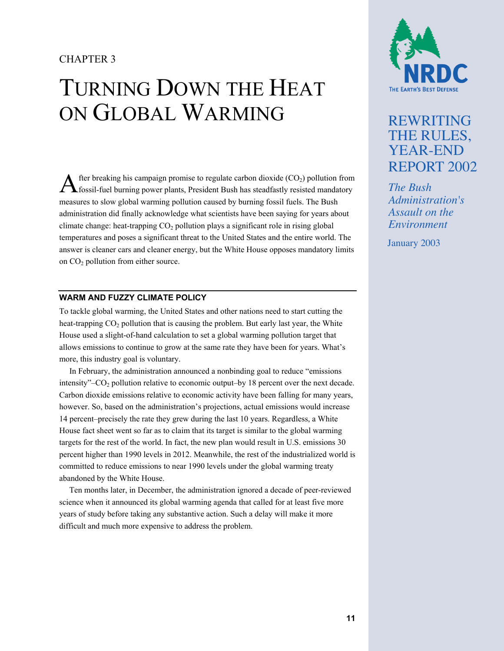## CHAPTER 3

# TURNING DOWN THE HEAT ON GLOBAL WARMING

 $\Lambda$  fter breaking his campaign promise to regulate carbon dioxide (CO<sub>2</sub>) pollution from from fossil-fuel burning power plants, President Bush has steadfastly resisted mandatory fossil-fuel burning power plants, President Bush has steadfastly resisted mandatory measures to slow global warming pollution caused by burning fossil fuels. The Bush administration did finally acknowledge what scientists have been saying for years about climate change: heat-trapping  $CO<sub>2</sub>$  pollution plays a significant role in rising global temperatures and poses a significant threat to the United States and the entire world. The answer is cleaner cars and cleaner energy, but the White House opposes mandatory limits on CO<sub>2</sub> pollution from either source.

## **WARM AND FUZZY CLIMATE POLICY**

To tackle global warming, the United States and other nations need to start cutting the heat-trapping  $CO<sub>2</sub>$  pollution that is causing the problem. But early last year, the White House used a slight-of-hand calculation to set a global warming pollution target that allows emissions to continue to grow at the same rate they have been for years. What's more, this industry goal is voluntary.

In February, the administration announced a nonbinding goal to reduce "emissions intensity" $-CO<sub>2</sub>$  pollution relative to economic output–by 18 percent over the next decade. Carbon dioxide emissions relative to economic activity have been falling for many years, however. So, based on the administration's projections, actual emissions would increase 14 percent–precisely the rate they grew during the last 10 years. Regardless, a White House fact sheet went so far as to claim that its target is similar to the global warming targets for the rest of the world. In fact, the new plan would result in U.S. emissions 30 percent higher than 1990 levels in 2012. Meanwhile, the rest of the industrialized world is committed to reduce emissions to near 1990 levels under the global warming treaty abandoned by the White House.

Ten months later, in December, the administration ignored a decade of peer-reviewed science when it announced its global warming agenda that called for at least five more years of study before taking any substantive action. Such a delay will make it more difficult and much more expensive to address the problem.



# REWRITING THE RULES, YEAR-END REPORT 2002

*The Bush Administration's Assault on the Environment*

January 2003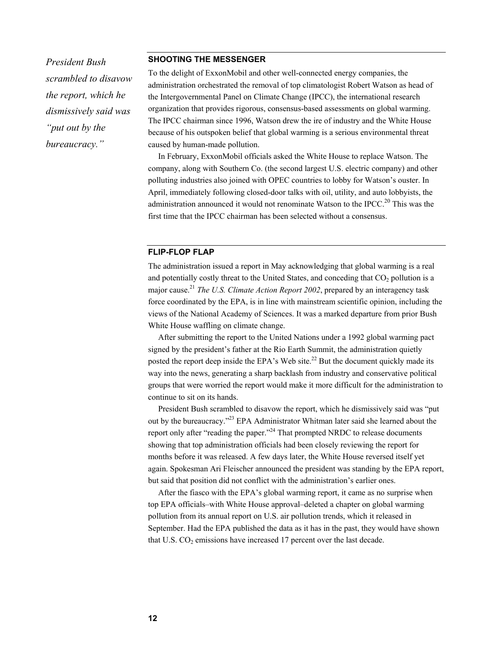*President Bush scrambled to disavow the report, which he dismissively said was "put out by the bureaucracy."* 

#### **SHOOTING THE MESSENGER**

To the delight of ExxonMobil and other well-connected energy companies, the administration orchestrated the removal of top climatologist Robert Watson as head of the Intergovernmental Panel on Climate Change (IPCC), the international research organization that provides rigorous, consensus-based assessments on global warming. The IPCC chairman since 1996, Watson drew the ire of industry and the White House because of his outspoken belief that global warming is a serious environmental threat caused by human-made pollution.

In February, ExxonMobil officials asked the White House to replace Watson. The company, along with Southern Co. (the second largest U.S. electric company) and other polluting industries also joined with OPEC countries to lobby for Watson's ouster. In April, immediately following closed-door talks with oil, utility, and auto lobbyists, the administration announced it would not renominate Watson to the IPCC.<sup>20</sup> This was the first time that the IPCC chairman has been selected without a consensus.

#### **FLIP-FLOP FLAP**

The administration issued a report in May acknowledging that global warming is a real and potentially costly threat to the United States, and conceding that  $CO<sub>2</sub>$  pollution is a major cause.<sup>21</sup> *The U.S. Climate Action Report 2002*, prepared by an interagency task force coordinated by the EPA, is in line with mainstream scientific opinion, including the views of the National Academy of Sciences. It was a marked departure from prior Bush White House waffling on climate change.

After submitting the report to the United Nations under a 1992 global warming pact signed by the president's father at the Rio Earth Summit, the administration quietly posted the report deep inside the EPA's Web site.<sup>22</sup> But the document quickly made its way into the news, generating a sharp backlash from industry and conservative political groups that were worried the report would make it more difficult for the administration to continue to sit on its hands.

President Bush scrambled to disavow the report, which he dismissively said was "put out by the bureaucracy."23 EPA Administrator Whitman later said she learned about the report only after "reading the paper."<sup>24</sup> That prompted NRDC to release documents showing that top administration officials had been closely reviewing the report for months before it was released. A few days later, the White House reversed itself yet again. Spokesman Ari Fleischer announced the president was standing by the EPA report, but said that position did not conflict with the administration's earlier ones.

After the fiasco with the EPA's global warming report, it came as no surprise when top EPA officials–with White House approval–deleted a chapter on global warming pollution from its annual report on U.S. air pollution trends, which it released in September. Had the EPA published the data as it has in the past, they would have shown that U.S.  $CO<sub>2</sub>$  emissions have increased 17 percent over the last decade.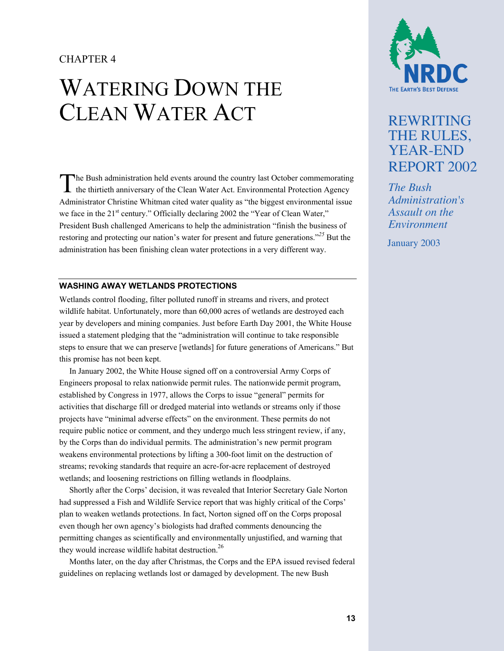## CHAPTER 4

# WATERING DOWN THE CLEAN WATER ACT

The Bush administration held events around the country last October commemorating the thirtieth anniversary of the Clean Water Act. Environmental Protection Agency the thirtieth anniversary of the Clean Water Act. Environmental Protection Agency Administrator Christine Whitman cited water quality as "the biggest environmental issue we face in the 21<sup>st</sup> century." Officially declaring 2002 the "Year of Clean Water," President Bush challenged Americans to help the administration "finish the business of restoring and protecting our nation's water for present and future generations."*25* But the administration has been finishing clean water protections in a very different way.

## **WASHING AWAY WETLANDS PROTECTIONS**

Wetlands control flooding, filter polluted runoff in streams and rivers, and protect wildlife habitat. Unfortunately, more than 60,000 acres of wetlands are destroyed each year by developers and mining companies. Just before Earth Day 2001, the White House issued a statement pledging that the "administration will continue to take responsible steps to ensure that we can preserve [wetlands] for future generations of Americans." But this promise has not been kept.

In January 2002, the White House signed off on a controversial Army Corps of Engineers proposal to relax nationwide permit rules. The nationwide permit program, established by Congress in 1977, allows the Corps to issue "general" permits for activities that discharge fill or dredged material into wetlands or streams only if those projects have "minimal adverse effects" on the environment. These permits do not require public notice or comment, and they undergo much less stringent review, if any, by the Corps than do individual permits. The administration's new permit program weakens environmental protections by lifting a 300-foot limit on the destruction of streams; revoking standards that require an acre-for-acre replacement of destroyed wetlands; and loosening restrictions on filling wetlands in floodplains.

Shortly after the Corps' decision, it was revealed that Interior Secretary Gale Norton had suppressed a Fish and Wildlife Service report that was highly critical of the Corps' plan to weaken wetlands protections. In fact, Norton signed off on the Corps proposal even though her own agency's biologists had drafted comments denouncing the permitting changes as scientifically and environmentally unjustified, and warning that they would increase wildlife habitat destruction.<sup>26</sup>

Months later, on the day after Christmas, the Corps and the EPA issued revised federal guidelines on replacing wetlands lost or damaged by development. The new Bush



# REWRITING THE RULES, YEAR-END REPORT 2002

*The Bush Administration's Assault on the Environment*

January 2003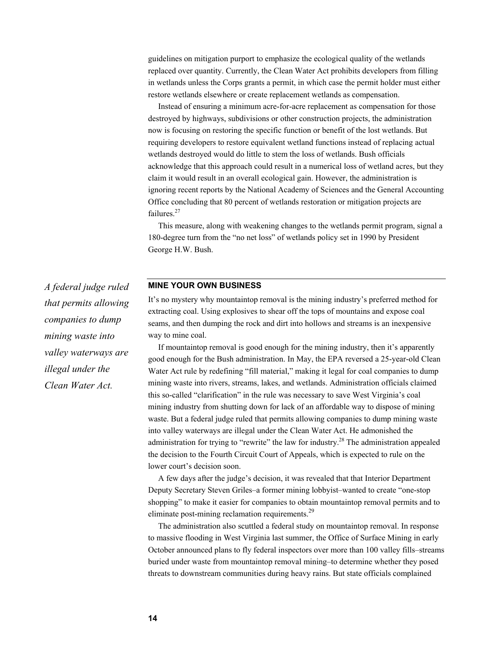guidelines on mitigation purport to emphasize the ecological quality of the wetlands replaced over quantity. Currently, the Clean Water Act prohibits developers from filling in wetlands unless the Corps grants a permit, in which case the permit holder must either restore wetlands elsewhere or create replacement wetlands as compensation.

Instead of ensuring a minimum acre-for-acre replacement as compensation for those destroyed by highways, subdivisions or other construction projects, the administration now is focusing on restoring the specific function or benefit of the lost wetlands. But requiring developers to restore equivalent wetland functions instead of replacing actual wetlands destroyed would do little to stem the loss of wetlands. Bush officials acknowledge that this approach could result in a numerical loss of wetland acres, but they claim it would result in an overall ecological gain. However, the administration is ignoring recent reports by the National Academy of Sciences and the General Accounting Office concluding that 80 percent of wetlands restoration or mitigation projects are failures.<sup>27</sup>

This measure, along with weakening changes to the wetlands permit program, signal a 180-degree turn from the "no net loss" of wetlands policy set in 1990 by President George H.W. Bush.

## **MINE YOUR OWN BUSINESS**

It's no mystery why mountaintop removal is the mining industry's preferred method for extracting coal. Using explosives to shear off the tops of mountains and expose coal seams, and then dumping the rock and dirt into hollows and streams is an inexpensive way to mine coal.

If mountaintop removal is good enough for the mining industry, then it's apparently good enough for the Bush administration. In May, the EPA reversed a 25-year-old Clean Water Act rule by redefining "fill material," making it legal for coal companies to dump mining waste into rivers, streams, lakes, and wetlands. Administration officials claimed this so-called "clarification" in the rule was necessary to save West Virginia's coal mining industry from shutting down for lack of an affordable way to dispose of mining waste. But a federal judge ruled that permits allowing companies to dump mining waste into valley waterways are illegal under the Clean Water Act. He admonished the administration for trying to "rewrite" the law for industry.<sup>28</sup> The administration appealed the decision to the Fourth Circuit Court of Appeals, which is expected to rule on the lower court's decision soon.

A few days after the judge's decision, it was revealed that that Interior Department Deputy Secretary Steven Griles–a former mining lobbyist–wanted to create "one-stop shopping" to make it easier for companies to obtain mountaintop removal permits and to eliminate post-mining reclamation requirements.<sup>29</sup>

The administration also scuttled a federal study on mountaintop removal. In response to massive flooding in West Virginia last summer, the Office of Surface Mining in early October announced plans to fly federal inspectors over more than 100 valley fills–streams buried under waste from mountaintop removal mining–to determine whether they posed threats to downstream communities during heavy rains. But state officials complained

*A federal judge ruled that permits allowing companies to dump mining waste into valley waterways are illegal under the Clean Water Act.*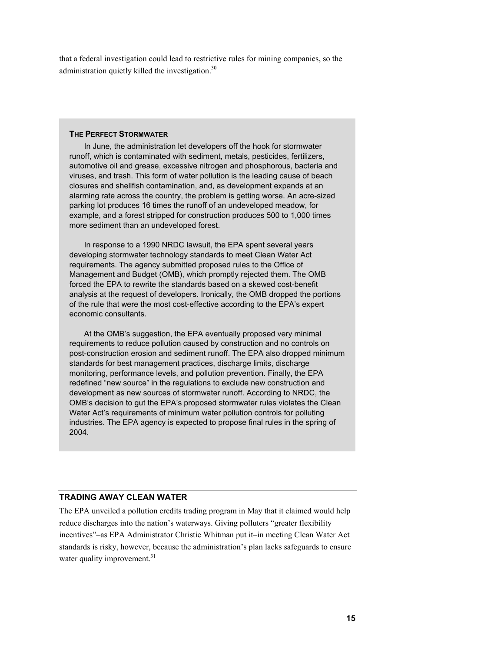that a federal investigation could lead to restrictive rules for mining companies, so the administration quietly killed the investigation.<sup>30</sup>

#### **THE PERFECT STORMWATER**

In June, the administration let developers off the hook for stormwater runoff, which is contaminated with sediment, metals, pesticides, fertilizers, automotive oil and grease, excessive nitrogen and phosphorous, bacteria and viruses, and trash. This form of water pollution is the leading cause of beach closures and shellfish contamination, and, as development expands at an alarming rate across the country, the problem is getting worse. An acre-sized parking lot produces 16 times the runoff of an undeveloped meadow, for example, and a forest stripped for construction produces 500 to 1,000 times more sediment than an undeveloped forest.

In response to a 1990 NRDC lawsuit, the EPA spent several years developing stormwater technology standards to meet Clean Water Act requirements. The agency submitted proposed rules to the Office of Management and Budget (OMB), which promptly rejected them. The OMB forced the EPA to rewrite the standards based on a skewed cost-benefit analysis at the request of developers. Ironically, the OMB dropped the portions of the rule that were the most cost-effective according to the EPA's expert economic consultants.

At the OMB's suggestion, the EPA eventually proposed very minimal requirements to reduce pollution caused by construction and no controls on post-construction erosion and sediment runoff. The EPA also dropped minimum standards for best management practices, discharge limits, discharge monitoring, performance levels, and pollution prevention. Finally, the EPA redefined "new source" in the regulations to exclude new construction and development as new sources of stormwater runoff. According to NRDC, the OMB's decision to gut the EPA's proposed stormwater rules violates the Clean Water Act's requirements of minimum water pollution controls for polluting industries. The EPA agency is expected to propose final rules in the spring of 2004.

### **TRADING AWAY CLEAN WATER**

The EPA unveiled a pollution credits trading program in May that it claimed would help reduce discharges into the nation's waterways. Giving polluters "greater flexibility incentives"–as EPA Administrator Christie Whitman put it–in meeting Clean Water Act standards is risky, however, because the administration's plan lacks safeguards to ensure water quality improvement.<sup>31</sup>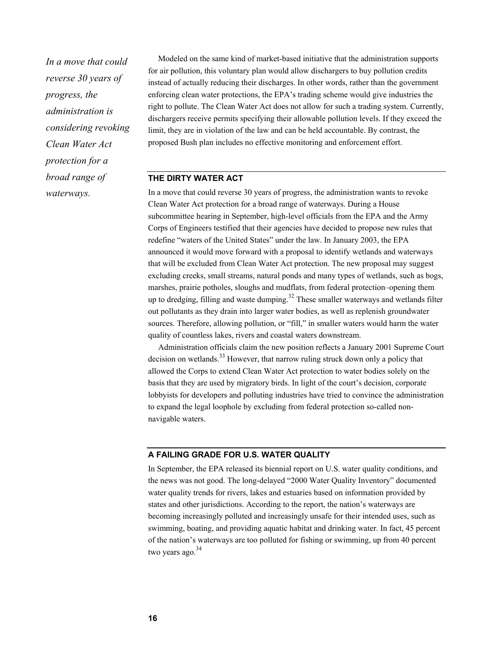*In a move that could reverse 30 years of progress, the administration is considering revoking Clean Water Act protection for a broad range of waterways.* 

Modeled on the same kind of market-based initiative that the administration supports for air pollution, this voluntary plan would allow dischargers to buy pollution credits instead of actually reducing their discharges. In other words, rather than the government enforcing clean water protections, the EPA's trading scheme would give industries the right to pollute. The Clean Water Act does not allow for such a trading system. Currently, dischargers receive permits specifying their allowable pollution levels. If they exceed the limit, they are in violation of the law and can be held accountable. By contrast, the proposed Bush plan includes no effective monitoring and enforcement effort.

#### **THE DIRTY WATER ACT**

In a move that could reverse 30 years of progress, the administration wants to revoke Clean Water Act protection for a broad range of waterways. During a House subcommittee hearing in September, high-level officials from the EPA and the Army Corps of Engineers testified that their agencies have decided to propose new rules that redefine "waters of the United States" under the law. In January 2003, the EPA announced it would move forward with a proposal to identify wetlands and waterways that will be excluded from Clean Water Act protection. The new proposal may suggest excluding creeks, small streams, natural ponds and many types of wetlands, such as bogs, marshes, prairie potholes, sloughs and mudflats, from federal protection–opening them up to dredging, filling and waste dumping.<sup>32</sup> These smaller waterways and wetlands filter out pollutants as they drain into larger water bodies, as well as replenish groundwater sources. Therefore, allowing pollution, or "fill," in smaller waters would harm the water quality of countless lakes, rivers and coastal waters downstream.

Administration officials claim the new position reflects a January 2001 Supreme Court decision on wetlands.<sup>33</sup> However, that narrow ruling struck down only a policy that allowed the Corps to extend Clean Water Act protection to water bodies solely on the basis that they are used by migratory birds. In light of the court's decision, corporate lobbyists for developers and polluting industries have tried to convince the administration to expand the legal loophole by excluding from federal protection so-called nonnavigable waters.

#### **A FAILING GRADE FOR U.S. WATER QUALITY**

In September, the EPA released its biennial report on U.S. water quality conditions, and the news was not good. The long-delayed "2000 Water Quality Inventory" documented water quality trends for rivers, lakes and estuaries based on information provided by states and other jurisdictions. According to the report, the nation's waterways are becoming increasingly polluted and increasingly unsafe for their intended uses, such as swimming, boating, and providing aquatic habitat and drinking water. In fact, 45 percent of the nation's waterways are too polluted for fishing or swimming, up from 40 percent two years ago. $34$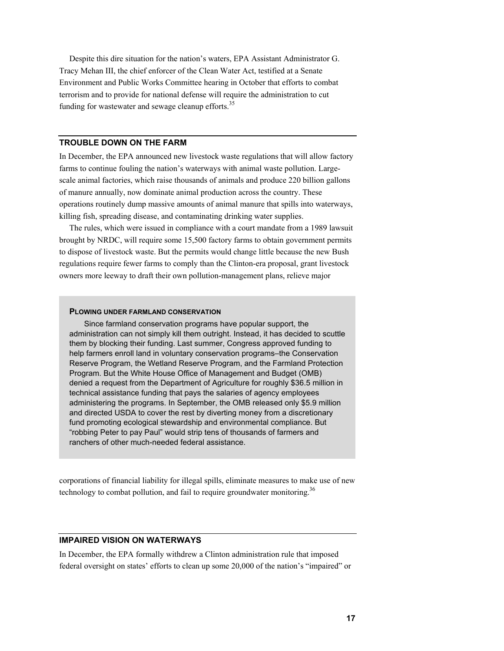Despite this dire situation for the nation's waters, EPA Assistant Administrator G. Tracy Mehan III, the chief enforcer of the Clean Water Act, testified at a Senate Environment and Public Works Committee hearing in October that efforts to combat terrorism and to provide for national defense will require the administration to cut funding for wastewater and sewage cleanup efforts.<sup>35</sup>

### **TROUBLE DOWN ON THE FARM**

In December, the EPA announced new livestock waste regulations that will allow factory farms to continue fouling the nation's waterways with animal waste pollution. Largescale animal factories, which raise thousands of animals and produce 220 billion gallons of manure annually, now dominate animal production across the country. These operations routinely dump massive amounts of animal manure that spills into waterways, killing fish, spreading disease, and contaminating drinking water supplies.

The rules, which were issued in compliance with a court mandate from a 1989 lawsuit brought by NRDC, will require some 15,500 factory farms to obtain government permits to dispose of livestock waste. But the permits would change little because the new Bush regulations require fewer farms to comply than the Clinton-era proposal, grant livestock owners more leeway to draft their own pollution-management plans, relieve major

#### **PLOWING UNDER FARMLAND CONSERVATION**

Since farmland conservation programs have popular support, the administration can not simply kill them outright. Instead, it has decided to scuttle them by blocking their funding. Last summer, Congress approved funding to help farmers enroll land in voluntary conservation programs–the Conservation Reserve Program, the Wetland Reserve Program, and the Farmland Protection Program. But the White House Office of Management and Budget (OMB) denied a request from the Department of Agriculture for roughly \$36.5 million in technical assistance funding that pays the salaries of agency employees administering the programs. In September, the OMB released only \$5.9 million and directed USDA to cover the rest by diverting money from a discretionary fund promoting ecological stewardship and environmental compliance. But "robbing Peter to pay Paul" would strip tens of thousands of farmers and ranchers of other much-needed federal assistance.

corporations of financial liability for illegal spills, eliminate measures to make use of new technology to combat pollution, and fail to require groundwater monitoring.<sup>36</sup>

### **IMPAIRED VISION ON WATERWAYS**

In December, the EPA formally withdrew a Clinton administration rule that imposed federal oversight on states' efforts to clean up some 20,000 of the nation's "impaired" or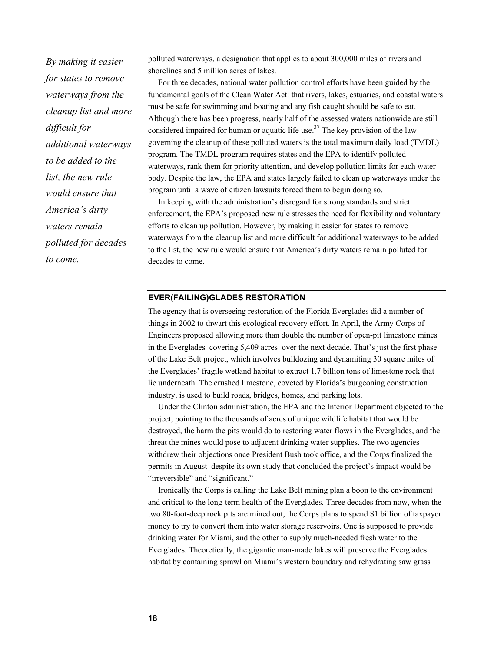*By making it easier for states to remove waterways from the cleanup list and more difficult for additional waterways to be added to the list, the new rule would ensure that America's dirty waters remain polluted for decades to come.* 

polluted waterways, a designation that applies to about 300,000 miles of rivers and shorelines and 5 million acres of lakes.

For three decades, national water pollution control efforts have been guided by the fundamental goals of the Clean Water Act: that rivers, lakes, estuaries, and coastal waters must be safe for swimming and boating and any fish caught should be safe to eat. Although there has been progress, nearly half of the assessed waters nationwide are still considered impaired for human or aquatic life use.<sup>37</sup> The key provision of the law governing the cleanup of these polluted waters is the total maximum daily load (TMDL) program. The TMDL program requires states and the EPA to identify polluted waterways, rank them for priority attention, and develop pollution limits for each water body. Despite the law, the EPA and states largely failed to clean up waterways under the program until a wave of citizen lawsuits forced them to begin doing so.

In keeping with the administration's disregard for strong standards and strict enforcement, the EPA's proposed new rule stresses the need for flexibility and voluntary efforts to clean up pollution. However, by making it easier for states to remove waterways from the cleanup list and more difficult for additional waterways to be added to the list, the new rule would ensure that America's dirty waters remain polluted for decades to come.

### **EVER(FAILING)GLADES RESTORATION**

The agency that is overseeing restoration of the Florida Everglades did a number of things in 2002 to thwart this ecological recovery effort. In April, the Army Corps of Engineers proposed allowing more than double the number of open-pit limestone mines in the Everglades–covering 5,409 acres–over the next decade. That's just the first phase of the Lake Belt project, which involves bulldozing and dynamiting 30 square miles of the Everglades' fragile wetland habitat to extract 1.7 billion tons of limestone rock that lie underneath. The crushed limestone, coveted by Florida's burgeoning construction industry, is used to build roads, bridges, homes, and parking lots.

Under the Clinton administration, the EPA and the Interior Department objected to the project, pointing to the thousands of acres of unique wildlife habitat that would be destroyed, the harm the pits would do to restoring water flows in the Everglades, and the threat the mines would pose to adjacent drinking water supplies. The two agencies withdrew their objections once President Bush took office, and the Corps finalized the permits in August–despite its own study that concluded the project's impact would be "irreversible" and "significant."

Ironically the Corps is calling the Lake Belt mining plan a boon to the environment and critical to the long-term health of the Everglades. Three decades from now, when the two 80-foot-deep rock pits are mined out, the Corps plans to spend \$1 billion of taxpayer money to try to convert them into water storage reservoirs. One is supposed to provide drinking water for Miami, and the other to supply much-needed fresh water to the Everglades. Theoretically, the gigantic man-made lakes will preserve the Everglades habitat by containing sprawl on Miami's western boundary and rehydrating saw grass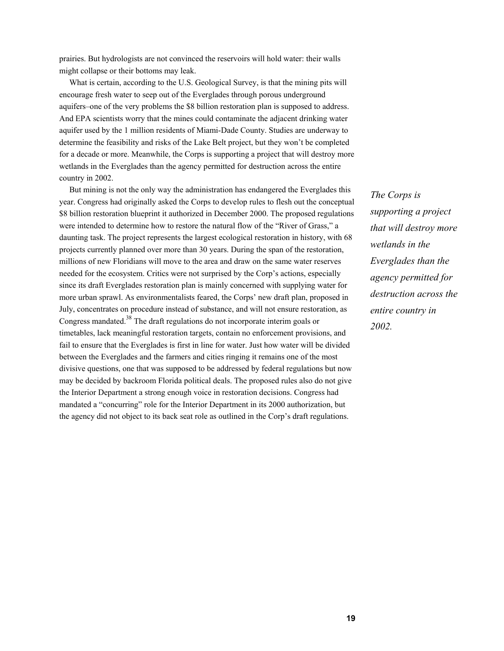prairies. But hydrologists are not convinced the reservoirs will hold water: their walls might collapse or their bottoms may leak.

What is certain, according to the U.S. Geological Survey, is that the mining pits will encourage fresh water to seep out of the Everglades through porous underground aquifers–one of the very problems the \$8 billion restoration plan is supposed to address. And EPA scientists worry that the mines could contaminate the adjacent drinking water aquifer used by the 1 million residents of Miami-Dade County. Studies are underway to determine the feasibility and risks of the Lake Belt project, but they won't be completed for a decade or more. Meanwhile, the Corps is supporting a project that will destroy more wetlands in the Everglades than the agency permitted for destruction across the entire country in 2002.

But mining is not the only way the administration has endangered the Everglades this year. Congress had originally asked the Corps to develop rules to flesh out the conceptual \$8 billion restoration blueprint it authorized in December 2000. The proposed regulations were intended to determine how to restore the natural flow of the "River of Grass," a daunting task. The project represents the largest ecological restoration in history, with 68 projects currently planned over more than 30 years. During the span of the restoration, millions of new Floridians will move to the area and draw on the same water reserves needed for the ecosystem. Critics were not surprised by the Corp's actions, especially since its draft Everglades restoration plan is mainly concerned with supplying water for more urban sprawl. As environmentalists feared, the Corps' new draft plan, proposed in July, concentrates on procedure instead of substance, and will not ensure restoration, as Congress mandated.<sup>38</sup> The draft regulations do not incorporate interim goals or timetables, lack meaningful restoration targets, contain no enforcement provisions, and fail to ensure that the Everglades is first in line for water. Just how water will be divided between the Everglades and the farmers and cities ringing it remains one of the most divisive questions, one that was supposed to be addressed by federal regulations but now may be decided by backroom Florida political deals. The proposed rules also do not give the Interior Department a strong enough voice in restoration decisions. Congress had mandated a "concurring" role for the Interior Department in its 2000 authorization, but the agency did not object to its back seat role as outlined in the Corp's draft regulations.

*The Corps is supporting a project that will destroy more wetlands in the Everglades than the agency permitted for destruction across the entire country in 2002.*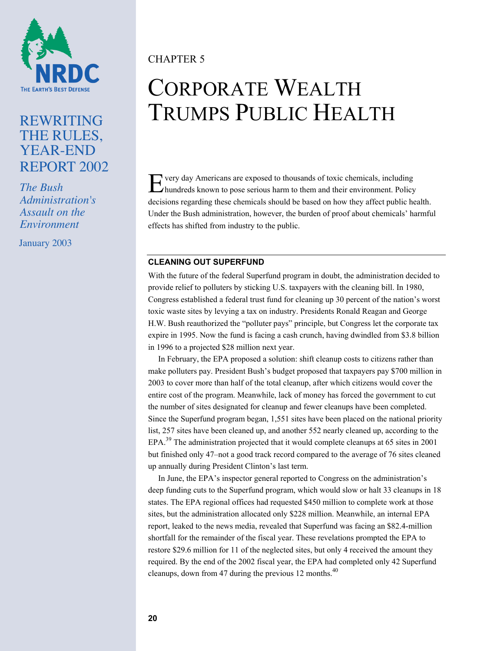

# REWRITING THE RULES, YEAR-END REPORT 2002

*The Bush Administration's Assault on the Environment*

January 2003

# CHAPTER 5

# CORPORATE WEALTH TRUMPS PUBLIC HEALTH

E very day Americans are exposed to thousands of toxic chemicals, including hundreds known to pose serious harm to them and their environment. Policy hundreds known to pose serious harm to them and their environment. Policy decisions regarding these chemicals should be based on how they affect public health. Under the Bush administration, however, the burden of proof about chemicals' harmful effects has shifted from industry to the public.

## **CLEANING OUT SUPERFUND**

With the future of the federal Superfund program in doubt, the administration decided to provide relief to polluters by sticking U.S. taxpayers with the cleaning bill. In 1980, Congress established a federal trust fund for cleaning up 30 percent of the nation's worst toxic waste sites by levying a tax on industry. Presidents Ronald Reagan and George H.W. Bush reauthorized the "polluter pays" principle, but Congress let the corporate tax expire in 1995. Now the fund is facing a cash crunch, having dwindled from \$3.8 billion in 1996 to a projected \$28 million next year.

In February, the EPA proposed a solution: shift cleanup costs to citizens rather than make polluters pay. President Bush's budget proposed that taxpayers pay \$700 million in 2003 to cover more than half of the total cleanup, after which citizens would cover the entire cost of the program. Meanwhile, lack of money has forced the government to cut the number of sites designated for cleanup and fewer cleanups have been completed. Since the Superfund program began, 1,551 sites have been placed on the national priority list, 257 sites have been cleaned up, and another 552 nearly cleaned up, according to the EPA.<sup>39</sup> The administration projected that it would complete cleanups at 65 sites in 2001 but finished only 47–not a good track record compared to the average of 76 sites cleaned up annually during President Clinton's last term.

In June, the EPA's inspector general reported to Congress on the administration's deep funding cuts to the Superfund program, which would slow or halt 33 cleanups in 18 states. The EPA regional offices had requested \$450 million to complete work at those sites, but the administration allocated only \$228 million. Meanwhile, an internal EPA report, leaked to the news media, revealed that Superfund was facing an \$82.4-million shortfall for the remainder of the fiscal year. These revelations prompted the EPA to restore \$29.6 million for 11 of the neglected sites, but only 4 received the amount they required. By the end of the 2002 fiscal year, the EPA had completed only 42 Superfund cleanups, down from 47 during the previous 12 months. $^{40}$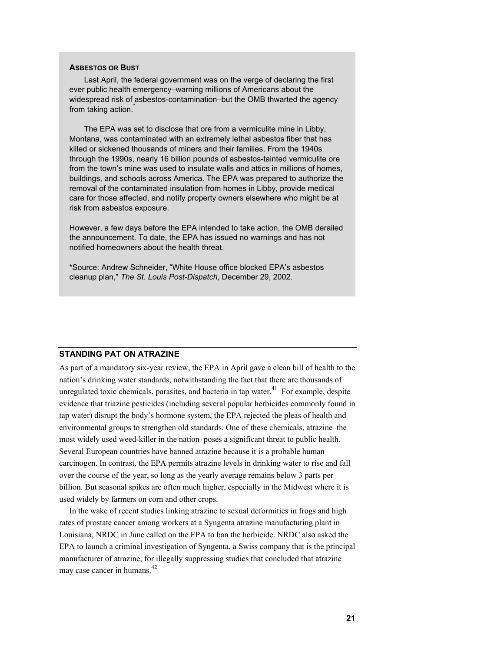#### **ASBESTOS OR BUST**

Last April, the federal government was on the verge of declaring the first ever public health emergency–warning millions of Americans about the widespread risk of asbestos-contamination–but the OMB thwarted the agency from taking action.

The EPA was set to disclose that ore from a vermiculite mine in Libby, Montana, was contaminated with an extremely lethal asbestos fiber that has killed or sickened thousands of miners and their families. From the 1940s through the 1990s, nearly 16 billion pounds of asbestos-tainted vermiculite ore from the town's mine was used to insulate walls and attics in millions of homes, buildings, and schools across America. The EPA was prepared to authorize the removal of the contaminated insulation from homes in Libby, provide medical care for those affected, and notify property owners elsewhere who might be at risk from asbestos exposure.

However, a few days before the EPA intended to take action, the OMB derailed the announcement. To date, the EPA has issued no warnings and has not notified homeowners about the health threat.

\*Source: Andrew Schneider, "White House office blocked EPA's asbestos cleanup plan," *The St. Louis Post-Dispatch*, December 29, 2002.

#### **STANDING PAT ON ATRAZINE**

As part of a mandatory six-year review, the EPA in April gave a clean bill of health to the nation's drinking water standards, notwithstanding the fact that there are thousands of unregulated toxic chemicals, parasites, and bacteria in tap water.<sup>41</sup> For example, despite evidence that triazine pesticides (including several popular herbicides commonly found in tap water) disrupt the body's hormone system, the EPA rejected the pleas of health and environmental groups to strengthen old standards. One of these chemicals, atrazine–the most widely used weed-killer in the nation–poses a significant threat to public health. Several European countries have banned atrazine because it is a probable human carcinogen. In contrast, the EPA permits atrazine levels in drinking water to rise and fall over the course of the year, so long as the yearly average remains below 3 parts per billion. But seasonal spikes are often much higher, especially in the Midwest where it is used widely by farmers on corn and other crops.

In the wake of recent studies linking atrazine to sexual deformities in frogs and high rates of prostate cancer among workers at a Syngenta atrazine manufacturing plant in Louisiana, NRDC in June called on the EPA to ban the herbicide. NRDC also asked the EPA to launch a criminal investigation of Syngenta, a Swiss company that is the principal manufacturer of atrazine, for illegally suppressing studies that concluded that atrazine may case cancer in humans.<sup>42</sup>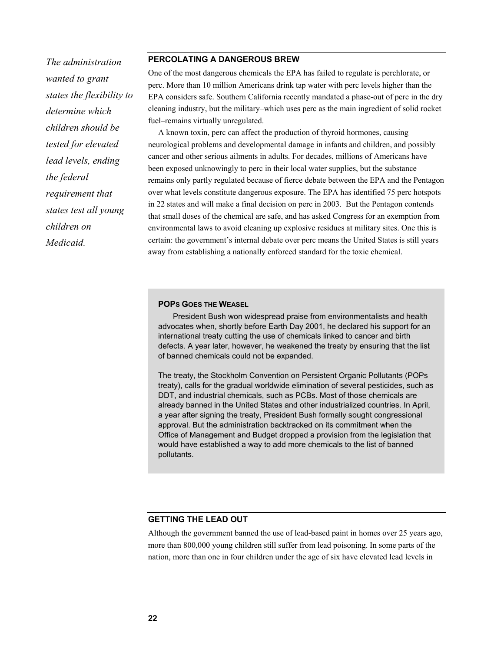*The administration wanted to grant states the flexibility to determine which children should be tested for elevated lead levels, ending the federal requirement that states test all young children on Medicaid.* 

### **PERCOLATING A DANGEROUS BREW**

One of the most dangerous chemicals the EPA has failed to regulate is perchlorate, or perc. More than 10 million Americans drink tap water with perc levels higher than the EPA considers safe. Southern California recently mandated a phase-out of perc in the dry cleaning industry, but the military–which uses perc as the main ingredient of solid rocket fuel–remains virtually unregulated.

A known toxin, perc can affect the production of thyroid hormones, causing neurological problems and developmental damage in infants and children, and possibly cancer and other serious ailments in adults. For decades, millions of Americans have been exposed unknowingly to perc in their local water supplies, but the substance remains only partly regulated because of fierce debate between the EPA and the Pentagon over what levels constitute dangerous exposure. The EPA has identified 75 perc hotspots in 22 states and will make a final decision on perc in 2003. But the Pentagon contends that small doses of the chemical are safe, and has asked Congress for an exemption from environmental laws to avoid cleaning up explosive residues at military sites. One this is certain: the government's internal debate over perc means the United States is still years away from establishing a nationally enforced standard for the toxic chemical.

#### **POPS GOES THE WEASEL**

President Bush won widespread praise from environmentalists and health advocates when, shortly before Earth Day 2001, he declared his support for an international treaty cutting the use of chemicals linked to cancer and birth defects. A year later, however, he weakened the treaty by ensuring that the list of banned chemicals could not be expanded.

The treaty, the Stockholm Convention on Persistent Organic Pollutants (POPs treaty), calls for the gradual worldwide elimination of several pesticides, such as DDT, and industrial chemicals, such as PCBs. Most of those chemicals are already banned in the United States and other industrialized countries. In April, a year after signing the treaty, President Bush formally sought congressional approval. But the administration backtracked on its commitment when the Office of Management and Budget dropped a provision from the legislation that would have established a way to add more chemicals to the list of banned pollutants.

### **GETTING THE LEAD OUT**

Although the government banned the use of lead-based paint in homes over 25 years ago, more than 800,000 young children still suffer from lead poisoning. In some parts of the nation, more than one in four children under the age of six have elevated lead levels in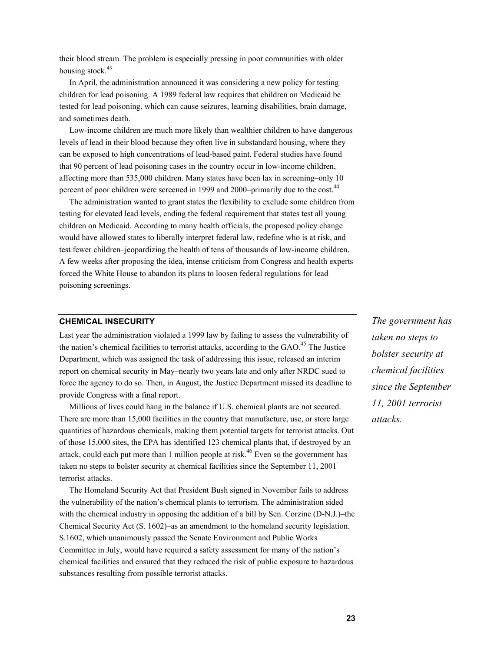their blood stream. The problem is especially pressing in poor communities with older housing stock. $43$ 

In April, the administration announced it was considering a new policy for testing children for lead poisoning. A 1989 federal law requires that children on Medicaid be tested for lead poisoning, which can cause seizures, learning disabilities, brain damage, and sometimes death.

Low-income children are much more likely than wealthier children to have dangerous levels of lead in their blood because they often live in substandard housing, where they can be exposed to high concentrations of lead-based paint. Federal studies have found that 90 percent of lead poisoning cases in the country occur in low-income children, affecting more than 535,000 children. Many states have been lax in screening–only 10 percent of poor children were screened in 1999 and 2000–primarily due to the cost.<sup>44</sup>

The administration wanted to grant states the flexibility to exclude some children from testing for elevated lead levels, ending the federal requirement that states test all young children on Medicaid. According to many health officials, the proposed policy change would have allowed states to liberally interpret federal law, redefine who is at risk, and test fewer children–jeopardizing the health of tens of thousands of low-income children. A few weeks after proposing the idea, intense criticism from Congress and health experts forced the White House to abandon its plans to loosen federal regulations for lead poisoning screenings.

#### **CHEMICAL INSECURITY**

Last year the administration violated a 1999 law by failing to assess the vulnerability of the nation's chemical facilities to terrorist attacks, according to the  $GAO<sup>45</sup>$ . The Justice Department, which was assigned the task of addressing this issue, released an interim report on chemical security in May–nearly two years late and only after NRDC sued to force the agency to do so. Then, in August, the Justice Department missed its deadline to provide Congress with a final report.

Millions of lives could hang in the balance if U.S. chemical plants are not secured. There are more than 15,000 facilities in the country that manufacture, use, or store large quantities of hazardous chemicals, making them potential targets for terrorist attacks. Out of those 15,000 sites, the EPA has identified 123 chemical plants that, if destroyed by an attack, could each put more than 1 million people at risk.<sup>46</sup> Even so the government has taken no steps to bolster security at chemical facilities since the September 11, 2001 terrorist attacks.

The Homeland Security Act that President Bush signed in November fails to address the vulnerability of the nation's chemical plants to terrorism. The administration sided with the chemical industry in opposing the addition of a bill by Sen. Corzine (D-N.J.)–the Chemical Security Act (S. 1602)–as an amendment to the homeland security legislation. S.1602, which unanimously passed the Senate Environment and Public Works Committee in July, would have required a safety assessment for many of the nation's chemical facilities and ensured that they reduced the risk of public exposure to hazardous substances resulting from possible terrorist attacks.

*The government has taken no steps to bolster security at chemical facilities since the September 11, 2001 terrorist attacks.*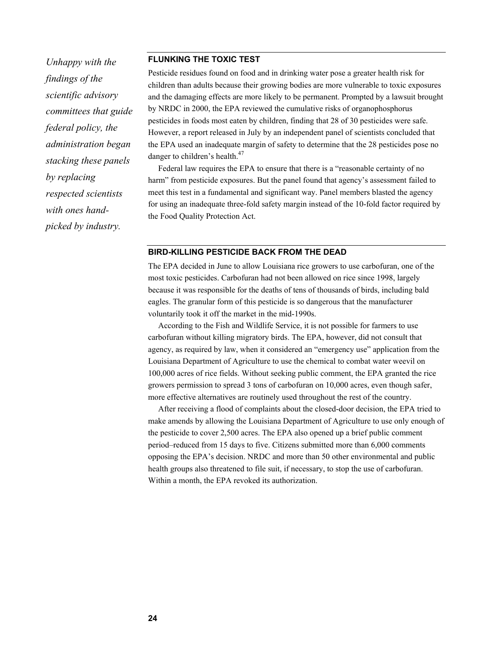*Unhappy with the findings of the scientific advisory committees that guide federal policy, the administration began stacking these panels by replacing respected scientists with ones handpicked by industry.* 

#### **FLUNKING THE TOXIC TEST**

Pesticide residues found on food and in drinking water pose a greater health risk for children than adults because their growing bodies are more vulnerable to toxic exposures and the damaging effects are more likely to be permanent. Prompted by a lawsuit brought by NRDC in 2000, the EPA reviewed the cumulative risks of organophosphorus pesticides in foods most eaten by children, finding that 28 of 30 pesticides were safe. However, a report released in July by an independent panel of scientists concluded that the EPA used an inadequate margin of safety to determine that the 28 pesticides pose no danger to children's health.<sup>47</sup>

Federal law requires the EPA to ensure that there is a "reasonable certainty of no harm" from pesticide exposures. But the panel found that agency's assessment failed to meet this test in a fundamental and significant way. Panel members blasted the agency for using an inadequate three-fold safety margin instead of the 10-fold factor required by the Food Quality Protection Act.

#### **BIRD-KILLING PESTICIDE BACK FROM THE DEAD**

The EPA decided in June to allow Louisiana rice growers to use carbofuran, one of the most toxic pesticides. Carbofuran had not been allowed on rice since 1998, largely because it was responsible for the deaths of tens of thousands of birds, including bald eagles. The granular form of this pesticide is so dangerous that the manufacturer voluntarily took it off the market in the mid-1990s.

According to the Fish and Wildlife Service, it is not possible for farmers to use carbofuran without killing migratory birds. The EPA, however, did not consult that agency, as required by law, when it considered an "emergency use" application from the Louisiana Department of Agriculture to use the chemical to combat water weevil on 100,000 acres of rice fields. Without seeking public comment, the EPA granted the rice growers permission to spread 3 tons of carbofuran on 10,000 acres, even though safer, more effective alternatives are routinely used throughout the rest of the country.

After receiving a flood of complaints about the closed-door decision, the EPA tried to make amends by allowing the Louisiana Department of Agriculture to use only enough of the pesticide to cover 2,500 acres. The EPA also opened up a brief public comment period–reduced from 15 days to five. Citizens submitted more than 6,000 comments opposing the EPA's decision. NRDC and more than 50 other environmental and public health groups also threatened to file suit, if necessary, to stop the use of carbofuran. Within a month, the EPA revoked its authorization.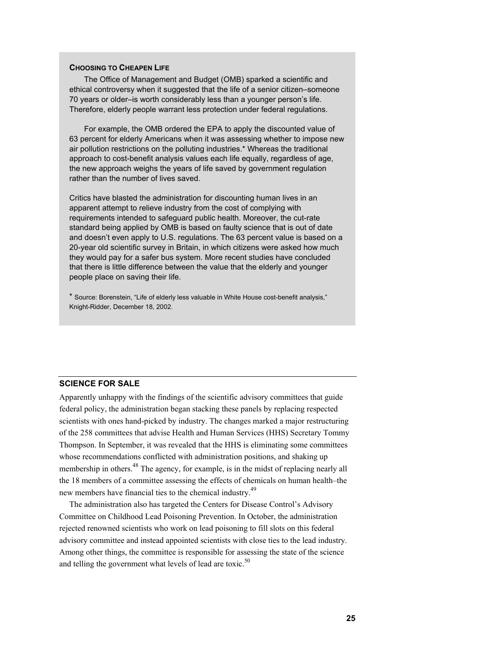#### **CHOOSING TO CHEAPEN LIFE**

The Office of Management and Budget (OMB) sparked a scientific and ethical controversy when it suggested that the life of a senior citizen–someone 70 years or older–is worth considerably less than a younger person's life. Therefore, elderly people warrant less protection under federal regulations.

For example, the OMB ordered the EPA to apply the discounted value of 63 percent for elderly Americans when it was assessing whether to impose new air pollution restrictions on the polluting industries.\* Whereas the traditional approach to cost-benefit analysis values each life equally, regardless of age, the new approach weighs the years of life saved by government regulation rather than the number of lives saved.

Critics have blasted the administration for discounting human lives in an apparent attempt to relieve industry from the cost of complying with requirements intended to safeguard public health. Moreover, the cut-rate standard being applied by OMB is based on faulty science that is out of date and doesn't even apply to U.S. regulations. The 63 percent value is based on a 20-year old scientific survey in Britain, in which citizens were asked how much they would pay for a safer bus system. More recent studies have concluded that there is little difference between the value that the elderly and younger people place on saving their life.

\* Source: Borenstein, "Life of elderly less valuable in White House cost-benefit analysis," Knight-Ridder, December 18, 2002.

## **SCIENCE FOR SALE**

Apparently unhappy with the findings of the scientific advisory committees that guide federal policy, the administration began stacking these panels by replacing respected scientists with ones hand-picked by industry. The changes marked a major restructuring of the 258 committees that advise Health and Human Services (HHS) Secretary Tommy Thompson. In September, it was revealed that the HHS is eliminating some committees whose recommendations conflicted with administration positions, and shaking up membership in others.<sup>48</sup> The agency, for example, is in the midst of replacing nearly all the 18 members of a committee assessing the effects of chemicals on human health–the new members have financial ties to the chemical industry.<sup>49</sup>

The administration also has targeted the Centers for Disease Control's Advisory Committee on Childhood Lead Poisoning Prevention. In October, the administration rejected renowned scientists who work on lead poisoning to fill slots on this federal advisory committee and instead appointed scientists with close ties to the lead industry. Among other things, the committee is responsible for assessing the state of the science and telling the government what levels of lead are toxic.<sup>50</sup>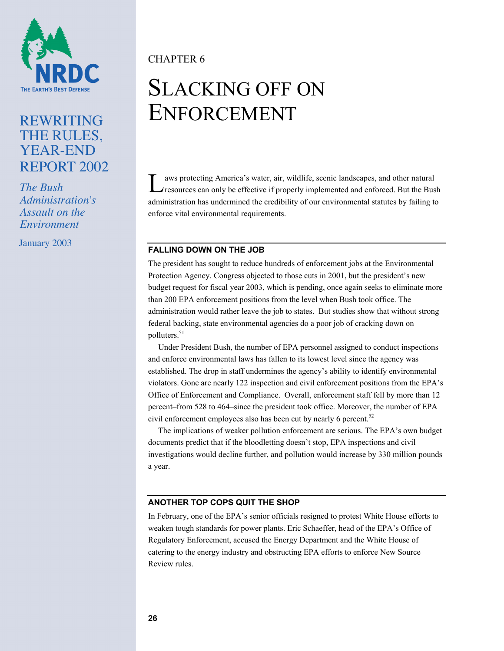

# REWRITING THE RULES, YEAR-END REPORT 2002

*The Bush Administration's Assault on the Environment*

January 2003

CHAPTER 6

# SLACKING OFF ON ENFORCEMENT

aws protecting America's water, air, wildlife, scenic landscapes, and other natural I aws protecting America's water, air, wildlife, scenic landscapes, and other natural resources can only be effective if properly implemented and enforced. But the Bush administration has undermined the credibility of our environmental statutes by failing to enforce vital environmental requirements.

## **FALLING DOWN ON THE JOB**

The president has sought to reduce hundreds of enforcement jobs at the Environmental Protection Agency. Congress objected to those cuts in 2001, but the president's new budget request for fiscal year 2003, which is pending, once again seeks to eliminate more than 200 EPA enforcement positions from the level when Bush took office. The administration would rather leave the job to states. But studies show that without strong federal backing, state environmental agencies do a poor job of cracking down on polluters.<sup>51</sup>

Under President Bush, the number of EPA personnel assigned to conduct inspections and enforce environmental laws has fallen to its lowest level since the agency was established. The drop in staff undermines the agency's ability to identify environmental violators. Gone are nearly 122 inspection and civil enforcement positions from the EPA's Office of Enforcement and Compliance. Overall, enforcement staff fell by more than 12 percent–from 528 to 464–since the president took office. Moreover, the number of EPA civil enforcement employees also has been cut by nearly 6 percent.<sup>52</sup>

The implications of weaker pollution enforcement are serious. The EPA's own budget documents predict that if the bloodletting doesn't stop, EPA inspections and civil investigations would decline further, and pollution would increase by 330 million pounds a year.

## **ANOTHER TOP COPS QUIT THE SHOP**

In February, one of the EPA's senior officials resigned to protest White House efforts to weaken tough standards for power plants. Eric Schaeffer, head of the EPA's Office of Regulatory Enforcement, accused the Energy Department and the White House of catering to the energy industry and obstructing EPA efforts to enforce New Source Review rules.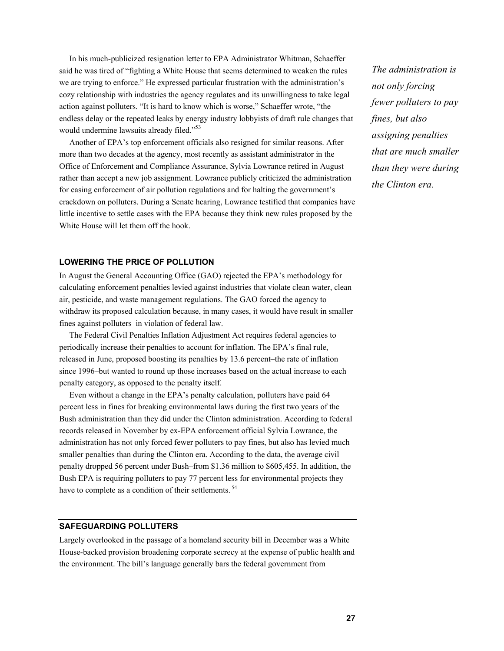In his much-publicized resignation letter to EPA Administrator Whitman, Schaeffer said he was tired of "fighting a White House that seems determined to weaken the rules we are trying to enforce." He expressed particular frustration with the administration's cozy relationship with industries the agency regulates and its unwillingness to take legal action against polluters. "It is hard to know which is worse," Schaeffer wrote, "the endless delay or the repeated leaks by energy industry lobbyists of draft rule changes that would undermine lawsuits already filed."<sup>53</sup>

Another of EPA's top enforcement officials also resigned for similar reasons. After more than two decades at the agency, most recently as assistant administrator in the Office of Enforcement and Compliance Assurance, Sylvia Lowrance retired in August rather than accept a new job assignment. Lowrance publicly criticized the administration for easing enforcement of air pollution regulations and for halting the government's crackdown on polluters. During a Senate hearing, Lowrance testified that companies have little incentive to settle cases with the EPA because they think new rules proposed by the White House will let them off the hook.

*The administration is not only forcing fewer polluters to pay fines, but also assigning penalties that are much smaller than they were during the Clinton era.* 

## **LOWERING THE PRICE OF POLLUTION**

In August the General Accounting Office (GAO) rejected the EPA's methodology for calculating enforcement penalties levied against industries that violate clean water, clean air, pesticide, and waste management regulations. The GAO forced the agency to withdraw its proposed calculation because, in many cases, it would have result in smaller fines against polluters–in violation of federal law.

The Federal Civil Penalties Inflation Adjustment Act requires federal agencies to periodically increase their penalties to account for inflation. The EPA's final rule, released in June, proposed boosting its penalties by 13.6 percent–the rate of inflation since 1996–but wanted to round up those increases based on the actual increase to each penalty category, as opposed to the penalty itself.

Even without a change in the EPA's penalty calculation, polluters have paid 64 percent less in fines for breaking environmental laws during the first two years of the Bush administration than they did under the Clinton administration. According to federal records released in November by ex-EPA enforcement official Sylvia Lowrance, the administration has not only forced fewer polluters to pay fines, but also has levied much smaller penalties than during the Clinton era. According to the data, the average civil penalty dropped 56 percent under Bush–from \$1.36 million to \$605,455. In addition, the Bush EPA is requiring polluters to pay 77 percent less for environmental projects they have to complete as a condition of their settlements.<sup>54</sup>

#### **SAFEGUARDING POLLUTERS**

Largely overlooked in the passage of a homeland security bill in December was a White House-backed provision broadening corporate secrecy at the expense of public health and the environment. The bill's language generally bars the federal government from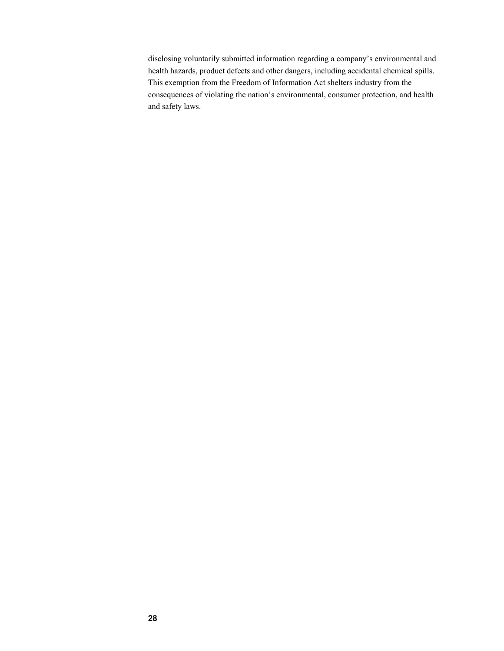disclosing voluntarily submitted information regarding a company's environmental and health hazards, product defects and other dangers, including accidental chemical spills. This exemption from the Freedom of Information Act shelters industry from the consequences of violating the nation's environmental, consumer protection, and health and safety laws.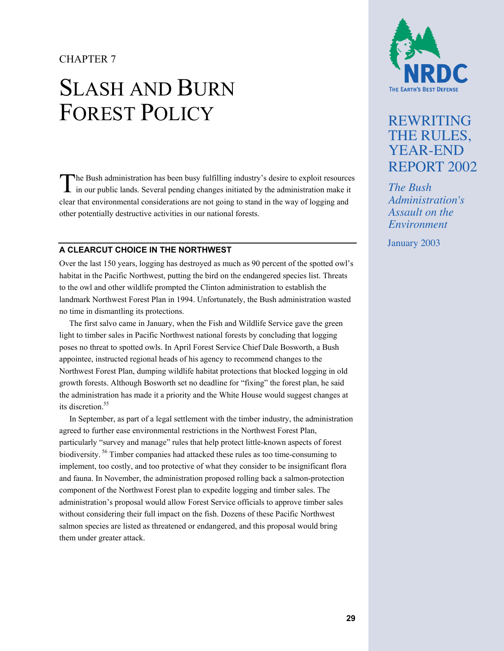## CHAPTER 7

# SLASH AND BURN FOREST POLICY

The Bush administration has been busy fulfilling industry's desire to exploit resources in our public lands. Several pending changes initiated by the administration make it in our public lands. Several pending changes initiated by the administration make it clear that environmental considerations are not going to stand in the way of logging and other potentially destructive activities in our national forests.

#### **A CLEARCUT CHOICE IN THE NORTHWEST**

Over the last 150 years, logging has destroyed as much as 90 percent of the spotted owl's habitat in the Pacific Northwest, putting the bird on the endangered species list. Threats to the owl and other wildlife prompted the Clinton administration to establish the landmark Northwest Forest Plan in 1994. Unfortunately, the Bush administration wasted no time in dismantling its protections.

The first salvo came in January, when the Fish and Wildlife Service gave the green light to timber sales in Pacific Northwest national forests by concluding that logging poses no threat to spotted owls. In April Forest Service Chief Dale Bosworth, a Bush appointee, instructed regional heads of his agency to recommend changes to the Northwest Forest Plan, dumping wildlife habitat protections that blocked logging in old growth forests. Although Bosworth set no deadline for "fixing" the forest plan, he said the administration has made it a priority and the White House would suggest changes at its discretion.<sup>55</sup>

In September, as part of a legal settlement with the timber industry, the administration agreed to further ease environmental restrictions in the Northwest Forest Plan, particularly "survey and manage" rules that help protect little-known aspects of forest biodiversity. 56 Timber companies had attacked these rules as too time-consuming to implement, too costly, and too protective of what they consider to be insignificant flora and fauna. In November, the administration proposed rolling back a salmon-protection component of the Northwest Forest plan to expedite logging and timber sales. The administration's proposal would allow Forest Service officials to approve timber sales without considering their full impact on the fish. Dozens of these Pacific Northwest salmon species are listed as threatened or endangered, and this proposal would bring them under greater attack.



# REWRITING THE RULES, YEAR-END REPORT 2002

*The Bush Administration's Assault on the Environment*

January 2003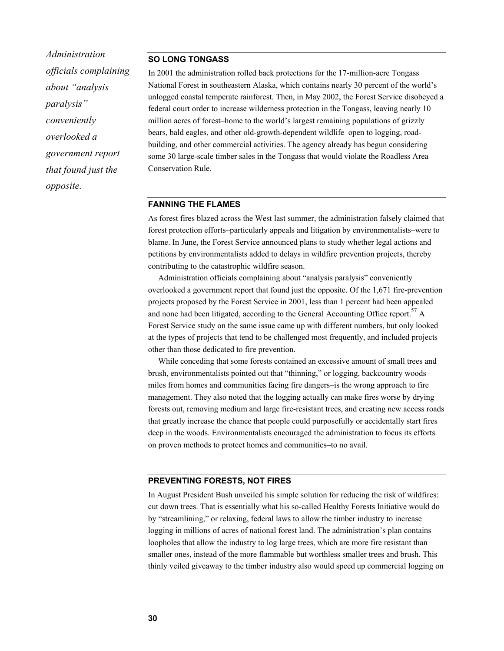*Administration officials complaining about "analysis paralysis" conveniently overlooked a government report that found just the opposite.* 

#### **SO LONG TONGASS**

In 2001 the administration rolled back protections for the 17-million-acre Tongass National Forest in southeastern Alaska, which contains nearly 30 percent of the world's unlogged coastal temperate rainforest. Then, in May 2002, the Forest Service disobeyed a federal court order to increase wilderness protection in the Tongass, leaving nearly 10 million acres of forest–home to the world's largest remaining populations of grizzly bears, bald eagles, and other old-growth-dependent wildlife–open to logging, roadbuilding, and other commercial activities. The agency already has begun considering some 30 large-scale timber sales in the Tongass that would violate the Roadless Area Conservation Rule.

#### **FANNING THE FLAMES**

As forest fires blazed across the West last summer, the administration falsely claimed that forest protection efforts–particularly appeals and litigation by environmentalists–were to blame. In June, the Forest Service announced plans to study whether legal actions and petitions by environmentalists added to delays in wildfire prevention projects, thereby contributing to the catastrophic wildfire season.

Administration officials complaining about "analysis paralysis" conveniently overlooked a government report that found just the opposite. Of the 1,671 fire-prevention projects proposed by the Forest Service in 2001, less than 1 percent had been appealed and none had been litigated, according to the General Accounting Office report.<sup>57</sup> A Forest Service study on the same issue came up with different numbers, but only looked at the types of projects that tend to be challenged most frequently, and included projects other than those dedicated to fire prevention.

While conceding that some forests contained an excessive amount of small trees and brush, environmentalists pointed out that "thinning," or logging, backcountry woods– miles from homes and communities facing fire dangers–is the wrong approach to fire management. They also noted that the logging actually can make fires worse by drying forests out, removing medium and large fire-resistant trees, and creating new access roads that greatly increase the chance that people could purposefully or accidentally start fires deep in the woods. Environmentalists encouraged the administration to focus its efforts on proven methods to protect homes and communities–to no avail.

#### **PREVENTING FORESTS, NOT FIRES**

In August President Bush unveiled his simple solution for reducing the risk of wildfires: cut down trees. That is essentially what his so-called Healthy Forests Initiative would do by "streamlining," or relaxing, federal laws to allow the timber industry to increase logging in millions of acres of national forest land. The administration's plan contains loopholes that allow the industry to log large trees, which are more fire resistant than smaller ones, instead of the more flammable but worthless smaller trees and brush. This thinly veiled giveaway to the timber industry also would speed up commercial logging on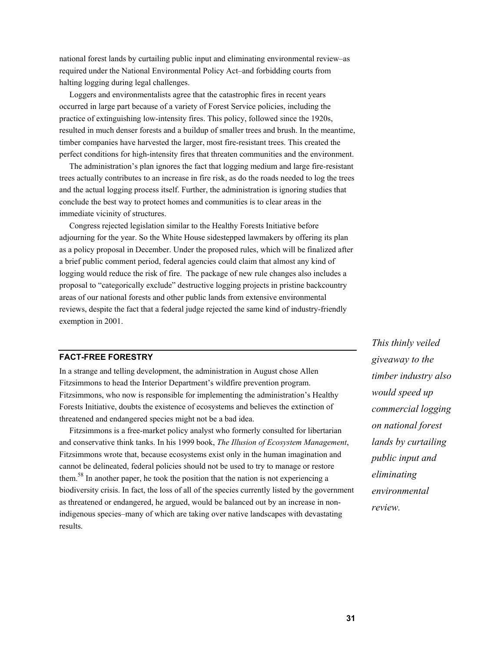national forest lands by curtailing public input and eliminating environmental review–as required under the National Environmental Policy Act–and forbidding courts from halting logging during legal challenges.

Loggers and environmentalists agree that the catastrophic fires in recent years occurred in large part because of a variety of Forest Service policies, including the practice of extinguishing low-intensity fires. This policy, followed since the 1920s, resulted in much denser forests and a buildup of smaller trees and brush. In the meantime, timber companies have harvested the larger, most fire-resistant trees. This created the perfect conditions for high-intensity fires that threaten communities and the environment.

The administration's plan ignores the fact that logging medium and large fire-resistant trees actually contributes to an increase in fire risk, as do the roads needed to log the trees and the actual logging process itself. Further, the administration is ignoring studies that conclude the best way to protect homes and communities is to clear areas in the immediate vicinity of structures.

Congress rejected legislation similar to the Healthy Forests Initiative before adjourning for the year. So the White House sidestepped lawmakers by offering its plan as a policy proposal in December. Under the proposed rules, which will be finalized after a brief public comment period, federal agencies could claim that almost any kind of logging would reduce the risk of fire. The package of new rule changes also includes a proposal to "categorically exclude" destructive logging projects in pristine backcountry areas of our national forests and other public lands from extensive environmental reviews, despite the fact that a federal judge rejected the same kind of industry-friendly exemption in 2001.

### **FACT-FREE FORESTRY**

In a strange and telling development, the administration in August chose Allen Fitzsimmons to head the Interior Department's wildfire prevention program. Fitzsimmons, who now is responsible for implementing the administration's Healthy Forests Initiative, doubts the existence of ecosystems and believes the extinction of threatened and endangered species might not be a bad idea.

Fitzsimmons is a free-market policy analyst who formerly consulted for libertarian and conservative think tanks. In his 1999 book, *The Illusion of Ecosystem Management*, Fitzsimmons wrote that, because ecosystems exist only in the human imagination and cannot be delineated, federal policies should not be used to try to manage or restore them.<sup>58</sup> In another paper, he took the position that the nation is not experiencing a biodiversity crisis. In fact, the loss of all of the species currently listed by the government as threatened or endangered, he argued, would be balanced out by an increase in nonindigenous species–many of which are taking over native landscapes with devastating results.

*This thinly veiled giveaway to the timber industry also would speed up commercial logging on national forest lands by curtailing public input and eliminating environmental review.*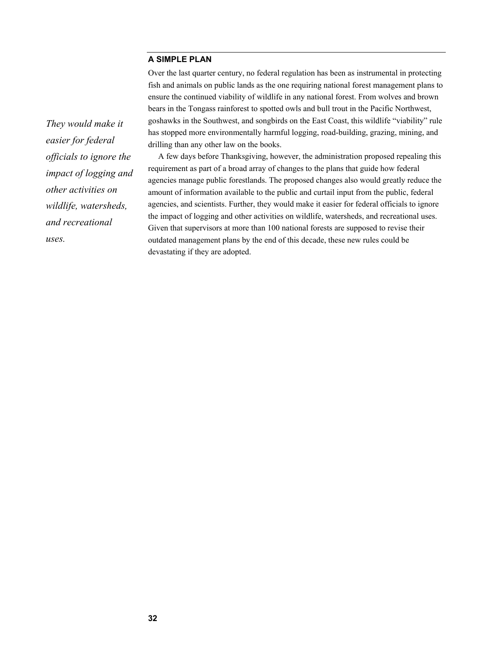### **A SIMPLE PLAN**

Over the last quarter century, no federal regulation has been as instrumental in protecting fish and animals on public lands as the one requiring national forest management plans to ensure the continued viability of wildlife in any national forest. From wolves and brown bears in the Tongass rainforest to spotted owls and bull trout in the Pacific Northwest, goshawks in the Southwest, and songbirds on the East Coast, this wildlife "viability" rule has stopped more environmentally harmful logging, road-building, grazing, mining, and drilling than any other law on the books.

A few days before Thanksgiving, however, the administration proposed repealing this requirement as part of a broad array of changes to the plans that guide how federal agencies manage public forestlands. The proposed changes also would greatly reduce the amount of information available to the public and curtail input from the public, federal agencies, and scientists. Further, they would make it easier for federal officials to ignore the impact of logging and other activities on wildlife, watersheds, and recreational uses. Given that supervisors at more than 100 national forests are supposed to revise their outdated management plans by the end of this decade, these new rules could be devastating if they are adopted.

*They would make it easier for federal officials to ignore the impact of logging and other activities on wildlife, watersheds, and recreational uses.*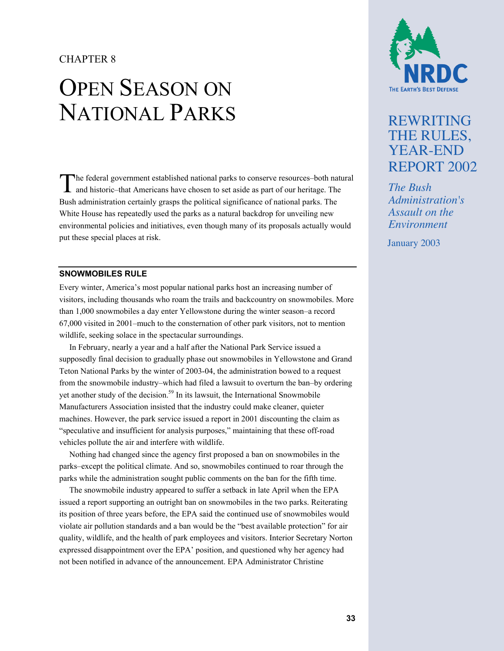## CHAPTER 8

# OPEN SEASON ON NATIONAL PARKS

The federal government established national parks to conserve resources–both natural and historic–that Americans have chosen to set aside as part of our heritage. The and historic–that Americans have chosen to set aside as part of our heritage. The Bush administration certainly grasps the political significance of national parks. The White House has repeatedly used the parks as a natural backdrop for unveiling new environmental policies and initiatives, even though many of its proposals actually would put these special places at risk.

#### **SNOWMOBILES RULE**

Every winter, America's most popular national parks host an increasing number of visitors, including thousands who roam the trails and backcountry on snowmobiles. More than 1,000 snowmobiles a day enter Yellowstone during the winter season–a record 67,000 visited in 2001–much to the consternation of other park visitors, not to mention wildlife, seeking solace in the spectacular surroundings.

In February, nearly a year and a half after the National Park Service issued a supposedly final decision to gradually phase out snowmobiles in Yellowstone and Grand Teton National Parks by the winter of 2003-04, the administration bowed to a request from the snowmobile industry–which had filed a lawsuit to overturn the ban–by ordering yet another study of the decision.<sup>59</sup> In its lawsuit, the International Snowmobile Manufacturers Association insisted that the industry could make cleaner, quieter machines. However, the park service issued a report in 2001 discounting the claim as "speculative and insufficient for analysis purposes," maintaining that these off-road vehicles pollute the air and interfere with wildlife.

Nothing had changed since the agency first proposed a ban on snowmobiles in the parks–except the political climate. And so, snowmobiles continued to roar through the parks while the administration sought public comments on the ban for the fifth time.

The snowmobile industry appeared to suffer a setback in late April when the EPA issued a report supporting an outright ban on snowmobiles in the two parks. Reiterating its position of three years before, the EPA said the continued use of snowmobiles would violate air pollution standards and a ban would be the "best available protection" for air quality, wildlife, and the health of park employees and visitors. Interior Secretary Norton expressed disappointment over the EPA' position, and questioned why her agency had not been notified in advance of the announcement. EPA Administrator Christine



# REWRITING THE RULES, YEAR-END REPORT 2002

*The Bush Administration's Assault on the Environment*

January 2003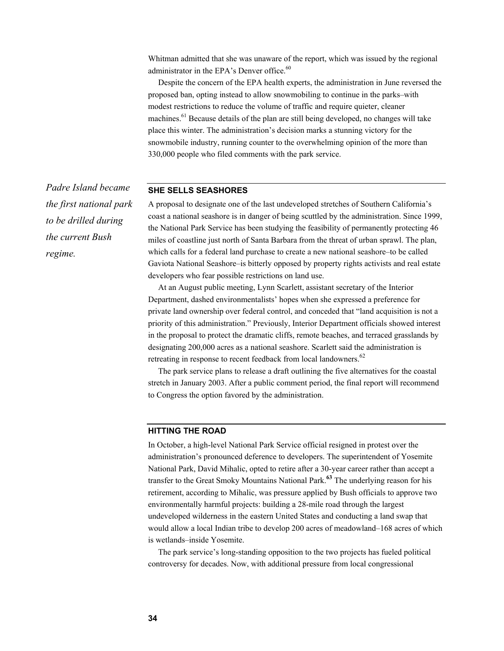Whitman admitted that she was unaware of the report, which was issued by the regional administrator in the EPA's Denver office.<sup>60</sup>

Despite the concern of the EPA health experts, the administration in June reversed the proposed ban, opting instead to allow snowmobiling to continue in the parks–with modest restrictions to reduce the volume of traffic and require quieter, cleaner machines.<sup>61</sup> Because details of the plan are still being developed, no changes will take place this winter. The administration's decision marks a stunning victory for the snowmobile industry, running counter to the overwhelming opinion of the more than 330,000 people who filed comments with the park service.

#### **SHE SELLS SEASHORES**

A proposal to designate one of the last undeveloped stretches of Southern California's coast a national seashore is in danger of being scuttled by the administration. Since 1999, the National Park Service has been studying the feasibility of permanently protecting 46 miles of coastline just north of Santa Barbara from the threat of urban sprawl. The plan, which calls for a federal land purchase to create a new national seashore–to be called Gaviota National Seashore–is bitterly opposed by property rights activists and real estate developers who fear possible restrictions on land use.

At an August public meeting, Lynn Scarlett, assistant secretary of the Interior Department, dashed environmentalists' hopes when she expressed a preference for private land ownership over federal control, and conceded that "land acquisition is not a priority of this administration." Previously, Interior Department officials showed interest in the proposal to protect the dramatic cliffs, remote beaches, and terraced grasslands by designating 200,000 acres as a national seashore. Scarlett said the administration is retreating in response to recent feedback from local landowners.<sup>62</sup>

The park service plans to release a draft outlining the five alternatives for the coastal stretch in January 2003. After a public comment period, the final report will recommend to Congress the option favored by the administration.

#### **HITTING THE ROAD**

In October, a high-level National Park Service official resigned in protest over the administration's pronounced deference to developers. The superintendent of Yosemite National Park, David Mihalic, opted to retire after a 30-year career rather than accept a transfer to the Great Smoky Mountains National Park.**63** The underlying reason for his retirement, according to Mihalic, was pressure applied by Bush officials to approve two environmentally harmful projects: building a 28-mile road through the largest undeveloped wilderness in the eastern United States and conducting a land swap that would allow a local Indian tribe to develop 200 acres of meadowland–168 acres of which is wetlands–inside Yosemite.

The park service's long-standing opposition to the two projects has fueled political controversy for decades. Now, with additional pressure from local congressional

*Padre Island became the first national park to be drilled during the current Bush regime.*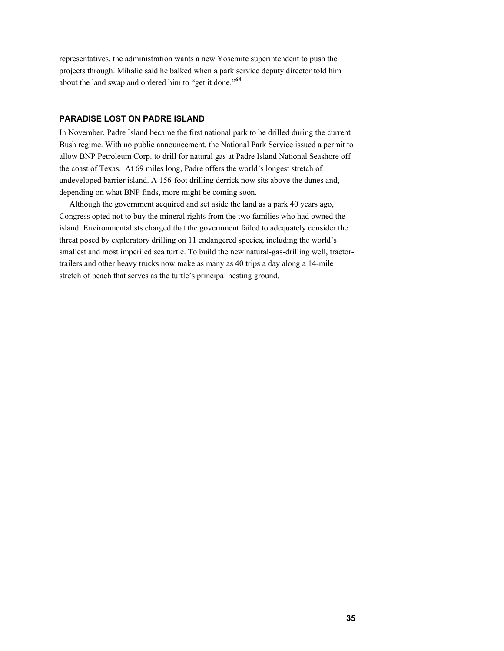representatives, the administration wants a new Yosemite superintendent to push the projects through. Mihalic said he balked when a park service deputy director told him about the land swap and ordered him to "get it done."**<sup>64</sup>**

#### **PARADISE LOST ON PADRE ISLAND**

In November, Padre Island became the first national park to be drilled during the current Bush regime. With no public announcement, the National Park Service issued a permit to allow BNP Petroleum Corp. to drill for natural gas at Padre Island National Seashore off the coast of Texas. At 69 miles long, Padre offers the world's longest stretch of undeveloped barrier island. A 156-foot drilling derrick now sits above the dunes and, depending on what BNP finds, more might be coming soon.

Although the government acquired and set aside the land as a park 40 years ago, Congress opted not to buy the mineral rights from the two families who had owned the island. Environmentalists charged that the government failed to adequately consider the threat posed by exploratory drilling on 11 endangered species, including the world's smallest and most imperiled sea turtle. To build the new natural-gas-drilling well, tractortrailers and other heavy trucks now make as many as 40 trips a day along a 14-mile stretch of beach that serves as the turtle's principal nesting ground.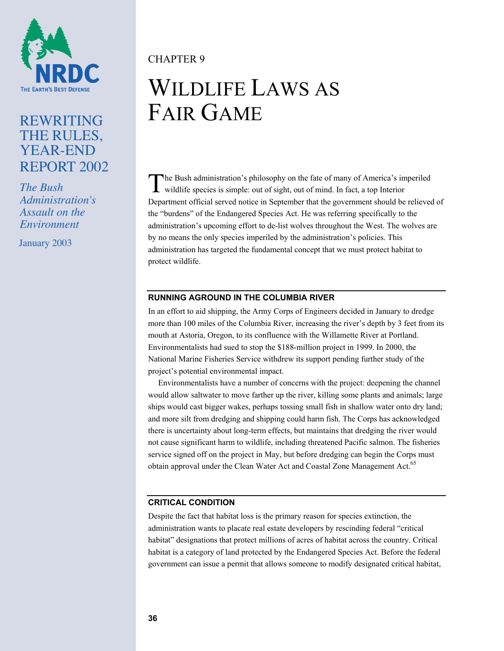

# REWRITING THE RULES, YEAR-END REPORT 2002

*The Bush Administration's Assault on the Environment*

January 2003

CHAPTER 9

# WILDLIFE LAWS AS FAIR GAME

he Bush administration's philosophy on the fate of many of America's imperiled The Bush administration's philosophy on the fate of many of America's im wildlife species is simple: out of sight, out of mind. In fact, a top Interior Department official served notice in September that the government should be relieved of the "burdens" of the Endangered Species Act. He was referring specifically to the administration's upcoming effort to de-list wolves throughout the West. The wolves are by no means the only species imperiled by the administration's policies. This administration has targeted the fundamental concept that we must protect habitat to protect wildlife.

## **RUNNING AGROUND IN THE COLUMBIA RIVER**

In an effort to aid shipping, the Army Corps of Engineers decided in January to dredge more than 100 miles of the Columbia River, increasing the river's depth by 3 feet from its mouth at Astoria, Oregon, to its confluence with the Willamette River at Portland. Environmentalists had sued to stop the \$188-million project in 1999. In 2000, the National Marine Fisheries Service withdrew its support pending further study of the project's potential environmental impact.

Environmentalists have a number of concerns with the project: deepening the channel would allow saltwater to move farther up the river, killing some plants and animals; large ships would cast bigger wakes, perhaps tossing small fish in shallow water onto dry land; and more silt from dredging and shipping could harm fish. The Corps has acknowledged there is uncertainty about long-term effects, but maintains that dredging the river would not cause significant harm to wildlife, including threatened Pacific salmon. The fisheries service signed off on the project in May, but before dredging can begin the Corps must obtain approval under the Clean Water Act and Coastal Zone Management Act.<sup>65</sup>

## **CRITICAL CONDITION**

Despite the fact that habitat loss is the primary reason for species extinction, the administration wants to placate real estate developers by rescinding federal "critical habitat" designations that protect millions of acres of habitat across the country. Critical habitat is a category of land protected by the Endangered Species Act. Before the federal government can issue a permit that allows someone to modify designated critical habitat,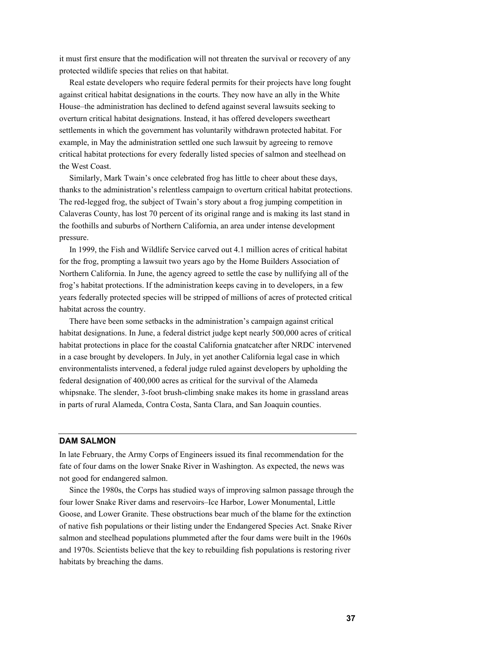it must first ensure that the modification will not threaten the survival or recovery of any protected wildlife species that relies on that habitat.

Real estate developers who require federal permits for their projects have long fought against critical habitat designations in the courts. They now have an ally in the White House–the administration has declined to defend against several lawsuits seeking to overturn critical habitat designations. Instead, it has offered developers sweetheart settlements in which the government has voluntarily withdrawn protected habitat. For example, in May the administration settled one such lawsuit by agreeing to remove critical habitat protections for every federally listed species of salmon and steelhead on the West Coast.

Similarly, Mark Twain's once celebrated frog has little to cheer about these days, thanks to the administration's relentless campaign to overturn critical habitat protections. The red-legged frog, the subject of Twain's story about a frog jumping competition in Calaveras County, has lost 70 percent of its original range and is making its last stand in the foothills and suburbs of Northern California, an area under intense development pressure.

In 1999, the Fish and Wildlife Service carved out 4.1 million acres of critical habitat for the frog, prompting a lawsuit two years ago by the Home Builders Association of Northern California. In June, the agency agreed to settle the case by nullifying all of the frog's habitat protections. If the administration keeps caving in to developers, in a few years federally protected species will be stripped of millions of acres of protected critical habitat across the country.

There have been some setbacks in the administration's campaign against critical habitat designations. In June, a federal district judge kept nearly 500,000 acres of critical habitat protections in place for the coastal California gnatcatcher after NRDC intervened in a case brought by developers. In July, in yet another California legal case in which environmentalists intervened, a federal judge ruled against developers by upholding the federal designation of 400,000 acres as critical for the survival of the Alameda whipsnake. The slender, 3-foot brush-climbing snake makes its home in grassland areas in parts of rural Alameda, Contra Costa, Santa Clara, and San Joaquin counties.

#### **DAM SALMON**

In late February, the Army Corps of Engineers issued its final recommendation for the fate of four dams on the lower Snake River in Washington. As expected, the news was not good for endangered salmon.

Since the 1980s, the Corps has studied ways of improving salmon passage through the four lower Snake River dams and reservoirs–Ice Harbor, Lower Monumental, Little Goose, and Lower Granite. These obstructions bear much of the blame for the extinction of native fish populations or their listing under the Endangered Species Act. Snake River salmon and steelhead populations plummeted after the four dams were built in the 1960s and 1970s. Scientists believe that the key to rebuilding fish populations is restoring river habitats by breaching the dams.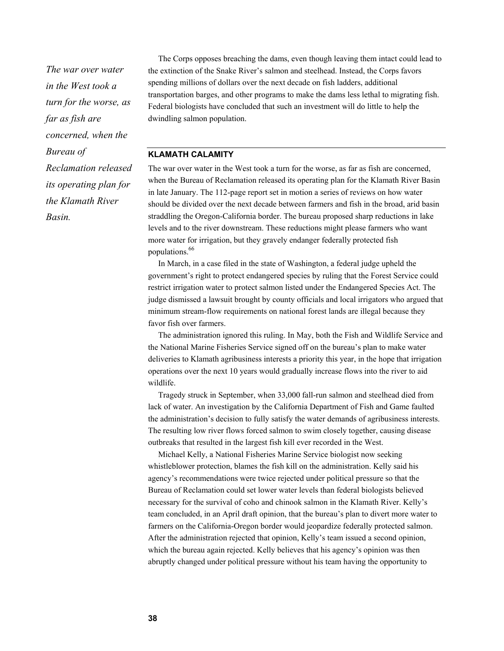*The war over water in the West took a turn for the worse, as far as fish are concerned, when the Bureau of Reclamation released its operating plan for the Klamath River Basin.* 

The Corps opposes breaching the dams, even though leaving them intact could lead to the extinction of the Snake River's salmon and steelhead. Instead, the Corps favors spending millions of dollars over the next decade on fish ladders, additional transportation barges, and other programs to make the dams less lethal to migrating fish. Federal biologists have concluded that such an investment will do little to help the dwindling salmon population.

#### **KLAMATH CALAMITY**

The war over water in the West took a turn for the worse, as far as fish are concerned, when the Bureau of Reclamation released its operating plan for the Klamath River Basin in late January. The 112-page report set in motion a series of reviews on how water should be divided over the next decade between farmers and fish in the broad, arid basin straddling the Oregon-California border. The bureau proposed sharp reductions in lake levels and to the river downstream. These reductions might please farmers who want more water for irrigation, but they gravely endanger federally protected fish populations.66

In March, in a case filed in the state of Washington, a federal judge upheld the government's right to protect endangered species by ruling that the Forest Service could restrict irrigation water to protect salmon listed under the Endangered Species Act. The judge dismissed a lawsuit brought by county officials and local irrigators who argued that minimum stream-flow requirements on national forest lands are illegal because they favor fish over farmers.

The administration ignored this ruling. In May, both the Fish and Wildlife Service and the National Marine Fisheries Service signed off on the bureau's plan to make water deliveries to Klamath agribusiness interests a priority this year, in the hope that irrigation operations over the next 10 years would gradually increase flows into the river to aid wildlife.

Tragedy struck in September, when 33,000 fall-run salmon and steelhead died from lack of water. An investigation by the California Department of Fish and Game faulted the administration's decision to fully satisfy the water demands of agribusiness interests. The resulting low river flows forced salmon to swim closely together, causing disease outbreaks that resulted in the largest fish kill ever recorded in the West.

Michael Kelly, a National Fisheries Marine Service biologist now seeking whistleblower protection, blames the fish kill on the administration. Kelly said his agency's recommendations were twice rejected under political pressure so that the Bureau of Reclamation could set lower water levels than federal biologists believed necessary for the survival of coho and chinook salmon in the Klamath River. Kelly's team concluded, in an April draft opinion, that the bureau's plan to divert more water to farmers on the California-Oregon border would jeopardize federally protected salmon. After the administration rejected that opinion, Kelly's team issued a second opinion, which the bureau again rejected. Kelly believes that his agency's opinion was then abruptly changed under political pressure without his team having the opportunity to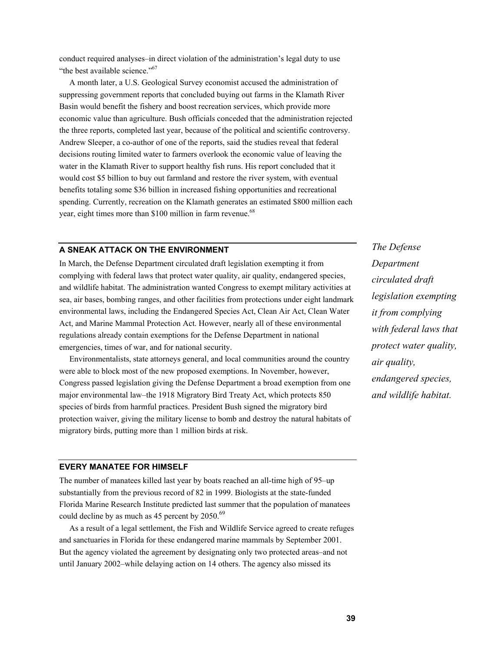conduct required analyses–in direct violation of the administration's legal duty to use "the best available science."<sup>67</sup>

A month later, a U.S. Geological Survey economist accused the administration of suppressing government reports that concluded buying out farms in the Klamath River Basin would benefit the fishery and boost recreation services, which provide more economic value than agriculture. Bush officials conceded that the administration rejected the three reports, completed last year, because of the political and scientific controversy. Andrew Sleeper, a co-author of one of the reports, said the studies reveal that federal decisions routing limited water to farmers overlook the economic value of leaving the water in the Klamath River to support healthy fish runs. His report concluded that it would cost \$5 billion to buy out farmland and restore the river system, with eventual benefits totaling some \$36 billion in increased fishing opportunities and recreational spending. Currently, recreation on the Klamath generates an estimated \$800 million each year, eight times more than \$100 million in farm revenue.<sup>68</sup>

#### **A SNEAK ATTACK ON THE ENVIRONMENT**

In March, the Defense Department circulated draft legislation exempting it from complying with federal laws that protect water quality, air quality, endangered species, and wildlife habitat. The administration wanted Congress to exempt military activities at sea, air bases, bombing ranges, and other facilities from protections under eight landmark environmental laws, including the Endangered Species Act, Clean Air Act, Clean Water Act, and Marine Mammal Protection Act. However, nearly all of these environmental regulations already contain exemptions for the Defense Department in national emergencies, times of war, and for national security.

Environmentalists, state attorneys general, and local communities around the country were able to block most of the new proposed exemptions. In November, however, Congress passed legislation giving the Defense Department a broad exemption from one major environmental law–the 1918 Migratory Bird Treaty Act, which protects 850 species of birds from harmful practices. President Bush signed the migratory bird protection waiver, giving the military license to bomb and destroy the natural habitats of migratory birds, putting more than 1 million birds at risk.

*Department circulated draft legislation exempting it from complying with federal laws that protect water quality, air quality, endangered species, and wildlife habitat.* 

*The Defense* 

#### **EVERY MANATEE FOR HIMSELF**

The number of manatees killed last year by boats reached an all-time high of 95–up substantially from the previous record of 82 in 1999. Biologists at the state-funded Florida Marine Research Institute predicted last summer that the population of manatees could decline by as much as 45 percent by 2050.<sup>69</sup>

As a result of a legal settlement, the Fish and Wildlife Service agreed to create refuges and sanctuaries in Florida for these endangered marine mammals by September 2001. But the agency violated the agreement by designating only two protected areas–and not until January 2002–while delaying action on 14 others. The agency also missed its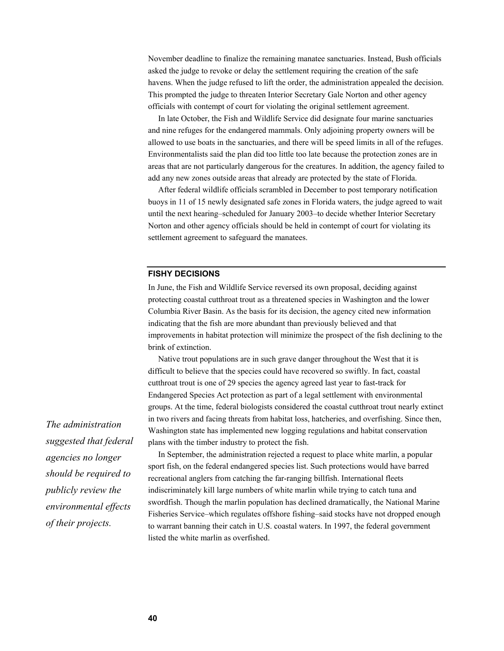November deadline to finalize the remaining manatee sanctuaries. Instead, Bush officials asked the judge to revoke or delay the settlement requiring the creation of the safe havens. When the judge refused to lift the order, the administration appealed the decision. This prompted the judge to threaten Interior Secretary Gale Norton and other agency officials with contempt of court for violating the original settlement agreement.

In late October, the Fish and Wildlife Service did designate four marine sanctuaries and nine refuges for the endangered mammals. Only adjoining property owners will be allowed to use boats in the sanctuaries, and there will be speed limits in all of the refuges. Environmentalists said the plan did too little too late because the protection zones are in areas that are not particularly dangerous for the creatures. In addition, the agency failed to add any new zones outside areas that already are protected by the state of Florida.

After federal wildlife officials scrambled in December to post temporary notification buoys in 11 of 15 newly designated safe zones in Florida waters, the judge agreed to wait until the next hearing–scheduled for January 2003–to decide whether Interior Secretary Norton and other agency officials should be held in contempt of court for violating its settlement agreement to safeguard the manatees.

#### **FISHY DECISIONS**

In June, the Fish and Wildlife Service reversed its own proposal, deciding against protecting coastal cutthroat trout as a threatened species in Washington and the lower Columbia River Basin. As the basis for its decision, the agency cited new information indicating that the fish are more abundant than previously believed and that improvements in habitat protection will minimize the prospect of the fish declining to the brink of extinction.

Native trout populations are in such grave danger throughout the West that it is difficult to believe that the species could have recovered so swiftly. In fact, coastal cutthroat trout is one of 29 species the agency agreed last year to fast-track for Endangered Species Act protection as part of a legal settlement with environmental groups. At the time, federal biologists considered the coastal cutthroat trout nearly extinct in two rivers and facing threats from habitat loss, hatcheries, and overfishing. Since then, Washington state has implemented new logging regulations and habitat conservation plans with the timber industry to protect the fish.

In September, the administration rejected a request to place white marlin, a popular sport fish, on the federal endangered species list. Such protections would have barred recreational anglers from catching the far-ranging billfish. International fleets indiscriminately kill large numbers of white marlin while trying to catch tuna and swordfish. Though the marlin population has declined dramatically, the National Marine Fisheries Service–which regulates offshore fishing–said stocks have not dropped enough to warrant banning their catch in U.S. coastal waters. In 1997, the federal government listed the white marlin as overfished.

*The administration suggested that federal agencies no longer should be required to publicly review the environmental effects of their projects.*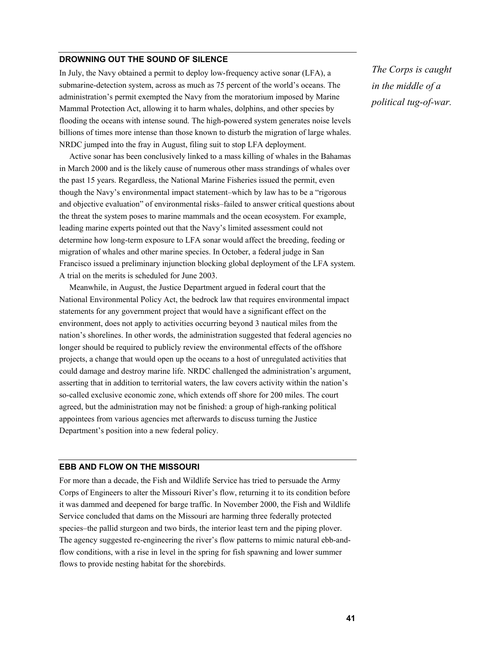#### **DROWNING OUT THE SOUND OF SILENCE**

In July, the Navy obtained a permit to deploy low-frequency active sonar (LFA), a submarine-detection system, across as much as 75 percent of the world's oceans. The administration's permit exempted the Navy from the moratorium imposed by Marine Mammal Protection Act, allowing it to harm whales, dolphins, and other species by flooding the oceans with intense sound. The high-powered system generates noise levels billions of times more intense than those known to disturb the migration of large whales. NRDC jumped into the fray in August, filing suit to stop LFA deployment.

Active sonar has been conclusively linked to a mass killing of whales in the Bahamas in March 2000 and is the likely cause of numerous other mass strandings of whales over the past 15 years. Regardless, the National Marine Fisheries issued the permit, even though the Navy's environmental impact statement–which by law has to be a "rigorous and objective evaluation" of environmental risks–failed to answer critical questions about the threat the system poses to marine mammals and the ocean ecosystem. For example, leading marine experts pointed out that the Navy's limited assessment could not determine how long-term exposure to LFA sonar would affect the breeding, feeding or migration of whales and other marine species. In October, a federal judge in San Francisco issued a preliminary injunction blocking global deployment of the LFA system. A trial on the merits is scheduled for June 2003.

Meanwhile, in August, the Justice Department argued in federal court that the National Environmental Policy Act, the bedrock law that requires environmental impact statements for any government project that would have a significant effect on the environment, does not apply to activities occurring beyond 3 nautical miles from the nation's shorelines. In other words, the administration suggested that federal agencies no longer should be required to publicly review the environmental effects of the offshore projects, a change that would open up the oceans to a host of unregulated activities that could damage and destroy marine life. NRDC challenged the administration's argument, asserting that in addition to territorial waters, the law covers activity within the nation's so-called exclusive economic zone, which extends off shore for 200 miles. The court agreed, but the administration may not be finished: a group of high-ranking political appointees from various agencies met afterwards to discuss turning the Justice Department's position into a new federal policy.

#### **EBB AND FLOW ON THE MISSOURI**

For more than a decade, the Fish and Wildlife Service has tried to persuade the Army Corps of Engineers to alter the Missouri River's flow, returning it to its condition before it was dammed and deepened for barge traffic. In November 2000, the Fish and Wildlife Service concluded that dams on the Missouri are harming three federally protected species–the pallid sturgeon and two birds, the interior least tern and the piping plover. The agency suggested re-engineering the river's flow patterns to mimic natural ebb-andflow conditions, with a rise in level in the spring for fish spawning and lower summer flows to provide nesting habitat for the shorebirds.

*The Corps is caught in the middle of a political tug-of-war.*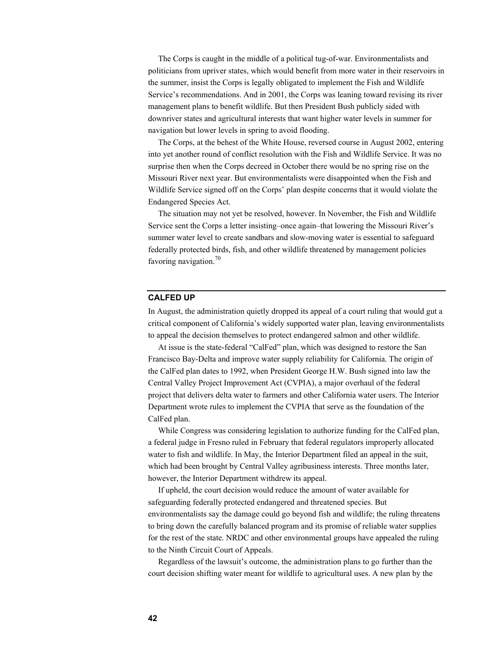The Corps is caught in the middle of a political tug-of-war. Environmentalists and politicians from upriver states, which would benefit from more water in their reservoirs in the summer, insist the Corps is legally obligated to implement the Fish and Wildlife Service's recommendations. And in 2001, the Corps was leaning toward revising its river management plans to benefit wildlife. But then President Bush publicly sided with downriver states and agricultural interests that want higher water levels in summer for navigation but lower levels in spring to avoid flooding.

The Corps, at the behest of the White House, reversed course in August 2002, entering into yet another round of conflict resolution with the Fish and Wildlife Service. It was no surprise then when the Corps decreed in October there would be no spring rise on the Missouri River next year. But environmentalists were disappointed when the Fish and Wildlife Service signed off on the Corps' plan despite concerns that it would violate the Endangered Species Act.

The situation may not yet be resolved, however. In November, the Fish and Wildlife Service sent the Corps a letter insisting–once again–that lowering the Missouri River's summer water level to create sandbars and slow-moving water is essential to safeguard federally protected birds, fish, and other wildlife threatened by management policies favoring navigation.<sup>70</sup>

#### **CALFED UP**

In August, the administration quietly dropped its appeal of a court ruling that would gut a critical component of California's widely supported water plan, leaving environmentalists to appeal the decision themselves to protect endangered salmon and other wildlife.

At issue is the state-federal "CalFed" plan, which was designed to restore the San Francisco Bay-Delta and improve water supply reliability for California. The origin of the CalFed plan dates to 1992, when President George H.W. Bush signed into law the Central Valley Project Improvement Act (CVPIA), a major overhaul of the federal project that delivers delta water to farmers and other California water users. The Interior Department wrote rules to implement the CVPIA that serve as the foundation of the CalFed plan.

While Congress was considering legislation to authorize funding for the CalFed plan, a federal judge in Fresno ruled in February that federal regulators improperly allocated water to fish and wildlife. In May, the Interior Department filed an appeal in the suit, which had been brought by Central Valley agribusiness interests. Three months later, however, the Interior Department withdrew its appeal.

If upheld, the court decision would reduce the amount of water available for safeguarding federally protected endangered and threatened species. But environmentalists say the damage could go beyond fish and wildlife; the ruling threatens to bring down the carefully balanced program and its promise of reliable water supplies for the rest of the state. NRDC and other environmental groups have appealed the ruling to the Ninth Circuit Court of Appeals.

Regardless of the lawsuit's outcome, the administration plans to go further than the court decision shifting water meant for wildlife to agricultural uses. A new plan by the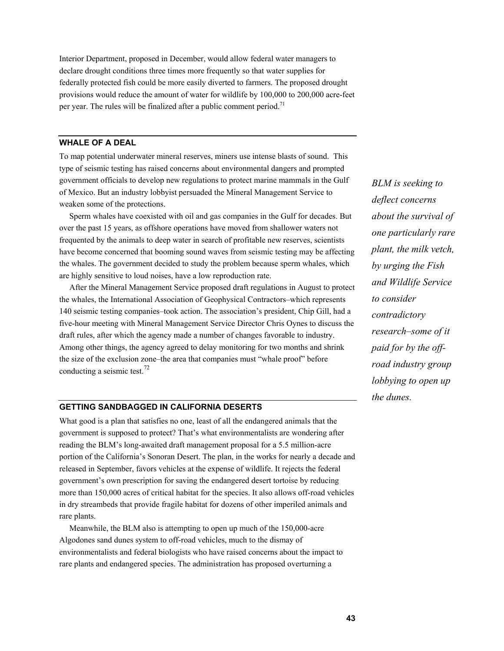Interior Department, proposed in December, would allow federal water managers to declare drought conditions three times more frequently so that water supplies for federally protected fish could be more easily diverted to farmers. The proposed drought provisions would reduce the amount of water for wildlife by 100,000 to 200,000 acre-feet per year. The rules will be finalized after a public comment period.<sup>71</sup>

## **WHALE OF A DEAL**

To map potential underwater mineral reserves, miners use intense blasts of sound. This type of seismic testing has raised concerns about environmental dangers and prompted government officials to develop new regulations to protect marine mammals in the Gulf of Mexico. But an industry lobbyist persuaded the Mineral Management Service to weaken some of the protections.

Sperm whales have coexisted with oil and gas companies in the Gulf for decades. But over the past 15 years, as offshore operations have moved from shallower waters not frequented by the animals to deep water in search of profitable new reserves, scientists have become concerned that booming sound waves from seismic testing may be affecting the whales. The government decided to study the problem because sperm whales, which are highly sensitive to loud noises, have a low reproduction rate.

After the Mineral Management Service proposed draft regulations in August to protect the whales, the International Association of Geophysical Contractors–which represents 140 seismic testing companies–took action. The association's president, Chip Gill, had a five-hour meeting with Mineral Management Service Director Chris Oynes to discuss the draft rules, after which the agency made a number of changes favorable to industry. Among other things, the agency agreed to delay monitoring for two months and shrink the size of the exclusion zone–the area that companies must "whale proof" before conducting a seismic test.<sup>72</sup>

## **GETTING SANDBAGGED IN CALIFORNIA DESERTS**

What good is a plan that satisfies no one, least of all the endangered animals that the government is supposed to protect? That's what environmentalists are wondering after reading the BLM's long-awaited draft management proposal for a 5.5 million-acre portion of the California's Sonoran Desert. The plan, in the works for nearly a decade and released in September, favors vehicles at the expense of wildlife. It rejects the federal government's own prescription for saving the endangered desert tortoise by reducing more than 150,000 acres of critical habitat for the species. It also allows off-road vehicles in dry streambeds that provide fragile habitat for dozens of other imperiled animals and rare plants.

Meanwhile, the BLM also is attempting to open up much of the 150,000-acre Algodones sand dunes system to off-road vehicles, much to the dismay of environmentalists and federal biologists who have raised concerns about the impact to rare plants and endangered species. The administration has proposed overturning a

*BLM is seeking to deflect concerns about the survival of one particularly rare plant, the milk vetch, by urging the Fish and Wildlife Service to consider contradictory research–some of it paid for by the offroad industry group lobbying to open up the dunes.*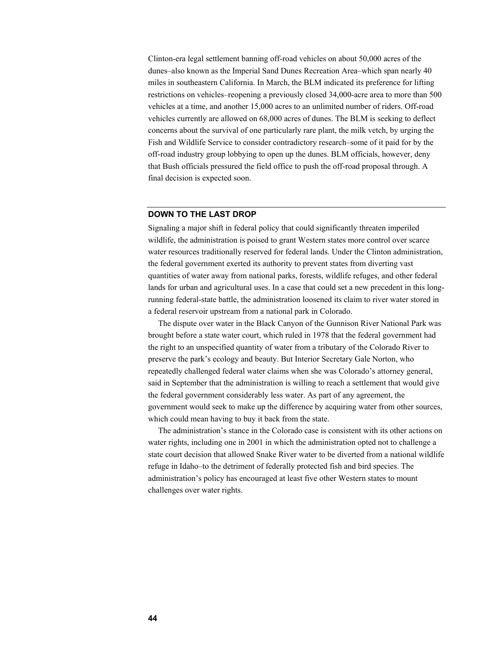Clinton-era legal settlement banning off-road vehicles on about 50,000 acres of the dunes–also known as the Imperial Sand Dunes Recreation Area–which span nearly 40 miles in southeastern California. In March, the BLM indicated its preference for lifting restrictions on vehicles–reopening a previously closed 34,000-acre area to more than 500 vehicles at a time, and another 15,000 acres to an unlimited number of riders. Off-road vehicles currently are allowed on 68,000 acres of dunes. The BLM is seeking to deflect concerns about the survival of one particularly rare plant, the milk vetch, by urging the Fish and Wildlife Service to consider contradictory research–some of it paid for by the off-road industry group lobbying to open up the dunes. BLM officials, however, deny that Bush officials pressured the field office to push the off-road proposal through. A final decision is expected soon.

#### **DOWN TO THE LAST DROP**

Signaling a major shift in federal policy that could significantly threaten imperiled wildlife, the administration is poised to grant Western states more control over scarce water resources traditionally reserved for federal lands. Under the Clinton administration, the federal government exerted its authority to prevent states from diverting vast quantities of water away from national parks, forests, wildlife refuges, and other federal lands for urban and agricultural uses. In a case that could set a new precedent in this longrunning federal-state battle, the administration loosened its claim to river water stored in a federal reservoir upstream from a national park in Colorado.

The dispute over water in the Black Canyon of the Gunnison River National Park was brought before a state water court, which ruled in 1978 that the federal government had the right to an unspecified quantity of water from a tributary of the Colorado River to preserve the park's ecology and beauty. But Interior Secretary Gale Norton, who repeatedly challenged federal water claims when she was Colorado's attorney general, said in September that the administration is willing to reach a settlement that would give the federal government considerably less water. As part of any agreement, the government would seek to make up the difference by acquiring water from other sources, which could mean having to buy it back from the state.

The administration's stance in the Colorado case is consistent with its other actions on water rights, including one in 2001 in which the administration opted not to challenge a state court decision that allowed Snake River water to be diverted from a national wildlife refuge in Idaho–to the detriment of federally protected fish and bird species. The administration's policy has encouraged at least five other Western states to mount challenges over water rights.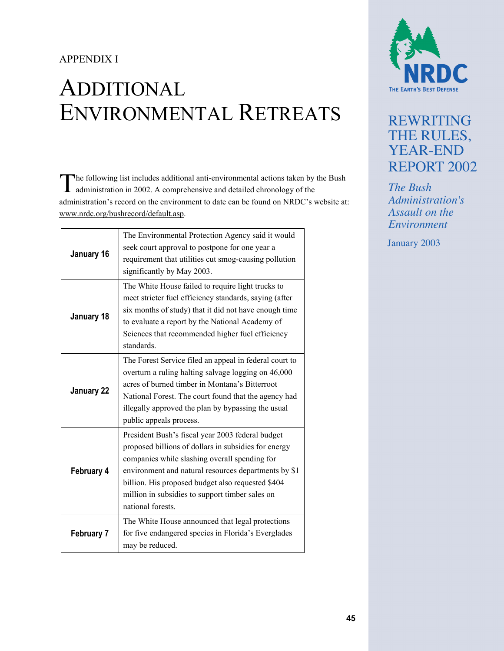# APPENDIX I

# ADDITIONAL ENVIRONMENTAL RETREATS

The following list includes additional anti-environmental actions taken by the Bush administration in 2002. A comprehensive and detailed chronology of the administration in 2002. A comprehensive and detailed chronology of the administration's record on the environment to date can be found on NRDC's website at: www.nrdc.org/bushrecord/default.asp.

| January 16        | The Environmental Protection Agency said it would<br>seek court approval to postpone for one year a<br>requirement that utilities cut smog-causing pollution<br>significantly by May 2003.                                                                                                                                                     |
|-------------------|------------------------------------------------------------------------------------------------------------------------------------------------------------------------------------------------------------------------------------------------------------------------------------------------------------------------------------------------|
| January 18        | The White House failed to require light trucks to<br>meet stricter fuel efficiency standards, saying (after<br>six months of study) that it did not have enough time<br>to evaluate a report by the National Academy of<br>Sciences that recommended higher fuel efficiency<br>standards.                                                      |
| January 22        | The Forest Service filed an appeal in federal court to<br>overturn a ruling halting salvage logging on 46,000<br>acres of burned timber in Montana's Bitterroot<br>National Forest. The court found that the agency had<br>illegally approved the plan by bypassing the usual<br>public appeals process.                                       |
| February 4        | President Bush's fiscal year 2003 federal budget<br>proposed billions of dollars in subsidies for energy<br>companies while slashing overall spending for<br>environment and natural resources departments by \$1<br>billion. His proposed budget also requested \$404<br>million in subsidies to support timber sales on<br>national forests. |
| <b>February 7</b> | The White House announced that legal protections<br>for five endangered species in Florida's Everglades<br>may be reduced.                                                                                                                                                                                                                     |



# REWRITING THE RULES, YEAR-END REPORT 2002

*The Bush Administration's Assault on the Environment*

January 2003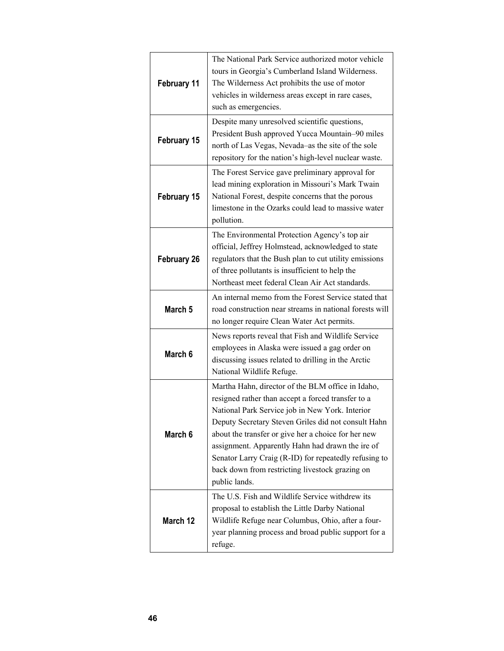| February 11        | The National Park Service authorized motor vehicle<br>tours in Georgia's Cumberland Island Wilderness.<br>The Wilderness Act prohibits the use of motor<br>vehicles in wilderness areas except in rare cases,<br>such as emergencies.                                                                                                                                                                                                                     |
|--------------------|-----------------------------------------------------------------------------------------------------------------------------------------------------------------------------------------------------------------------------------------------------------------------------------------------------------------------------------------------------------------------------------------------------------------------------------------------------------|
| February 15        | Despite many unresolved scientific questions,<br>President Bush approved Yucca Mountain-90 miles<br>north of Las Vegas, Nevada-as the site of the sole<br>repository for the nation's high-level nuclear waste.                                                                                                                                                                                                                                           |
| February 15        | The Forest Service gave preliminary approval for<br>lead mining exploration in Missouri's Mark Twain<br>National Forest, despite concerns that the porous<br>limestone in the Ozarks could lead to massive water<br>pollution.                                                                                                                                                                                                                            |
| <b>February 26</b> | The Environmental Protection Agency's top air<br>official, Jeffrey Holmstead, acknowledged to state<br>regulators that the Bush plan to cut utility emissions<br>of three pollutants is insufficient to help the<br>Northeast meet federal Clean Air Act standards.                                                                                                                                                                                       |
| March 5            | An internal memo from the Forest Service stated that<br>road construction near streams in national forests will<br>no longer require Clean Water Act permits.                                                                                                                                                                                                                                                                                             |
| March 6            | News reports reveal that Fish and Wildlife Service<br>employees in Alaska were issued a gag order on<br>discussing issues related to drilling in the Arctic<br>National Wildlife Refuge.                                                                                                                                                                                                                                                                  |
| March 6            | Martha Hahn, director of the BLM office in Idaho,<br>resigned rather than accept a forced transfer to a<br>National Park Service job in New York. Interior<br>Deputy Secretary Steven Griles did not consult Hahn<br>about the transfer or give her a choice for her new<br>assignment. Apparently Hahn had drawn the ire of<br>Senator Larry Craig (R-ID) for repeatedly refusing to<br>back down from restricting livestock grazing on<br>public lands. |
| March 12           | The U.S. Fish and Wildlife Service withdrew its<br>proposal to establish the Little Darby National<br>Wildlife Refuge near Columbus, Ohio, after a four-<br>year planning process and broad public support for a<br>refuge.                                                                                                                                                                                                                               |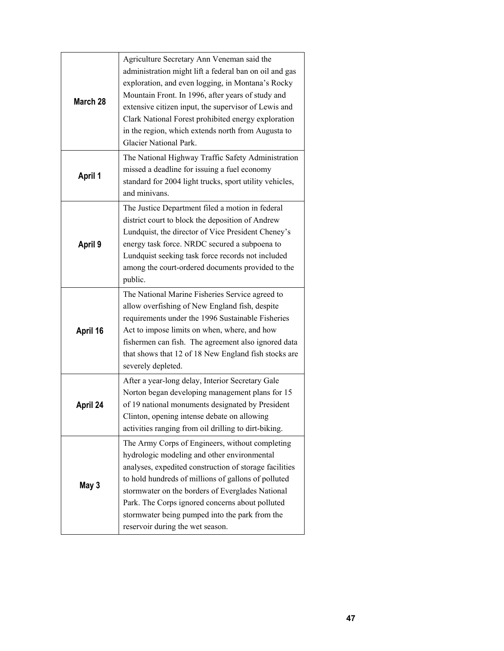| March 28       | Agriculture Secretary Ann Veneman said the<br>administration might lift a federal ban on oil and gas<br>exploration, and even logging, in Montana's Rocky<br>Mountain Front. In 1996, after years of study and<br>extensive citizen input, the supervisor of Lewis and<br>Clark National Forest prohibited energy exploration<br>in the region, which extends north from Augusta to<br>Glacier National Park. |
|----------------|---------------------------------------------------------------------------------------------------------------------------------------------------------------------------------------------------------------------------------------------------------------------------------------------------------------------------------------------------------------------------------------------------------------|
| <b>April 1</b> | The National Highway Traffic Safety Administration<br>missed a deadline for issuing a fuel economy<br>standard for 2004 light trucks, sport utility vehicles,<br>and minivans.                                                                                                                                                                                                                                |
| April 9        | The Justice Department filed a motion in federal<br>district court to block the deposition of Andrew<br>Lundquist, the director of Vice President Cheney's<br>energy task force. NRDC secured a subpoena to<br>Lundquist seeking task force records not included<br>among the court-ordered documents provided to the<br>public.                                                                              |
| April 16       | The National Marine Fisheries Service agreed to<br>allow overfishing of New England fish, despite<br>requirements under the 1996 Sustainable Fisheries<br>Act to impose limits on when, where, and how<br>fishermen can fish. The agreement also ignored data<br>that shows that 12 of 18 New England fish stocks are<br>severely depleted.                                                                   |
| April 24       | After a year-long delay, Interior Secretary Gale<br>Norton began developing management plans for 15<br>of 19 national monuments designated by President<br>Clinton, opening intense debate on allowing<br>activities ranging from oil drilling to dirt-biking.                                                                                                                                                |
| May 3          | The Army Corps of Engineers, without completing<br>hydrologic modeling and other environmental<br>analyses, expedited construction of storage facilities<br>to hold hundreds of millions of gallons of polluted<br>stormwater on the borders of Everglades National<br>Park. The Corps ignored concerns about polluted<br>stormwater being pumped into the park from the<br>reservoir during the wet season.  |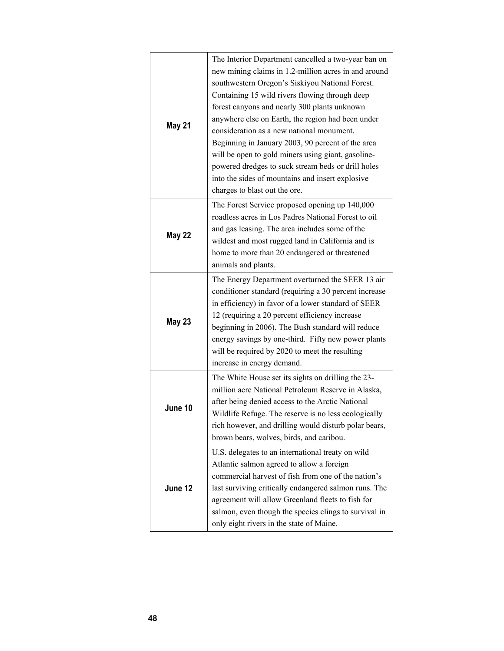| May 21        | The Interior Department cancelled a two-year ban on<br>new mining claims in 1.2-million acres in and around<br>southwestern Oregon's Siskiyou National Forest.<br>Containing 15 wild rivers flowing through deep<br>forest canyons and nearly 300 plants unknown<br>anywhere else on Earth, the region had been under<br>consideration as a new national monument.<br>Beginning in January 2003, 90 percent of the area<br>will be open to gold miners using giant, gasoline-<br>powered dredges to suck stream beds or drill holes<br>into the sides of mountains and insert explosive<br>charges to blast out the ore. |
|---------------|--------------------------------------------------------------------------------------------------------------------------------------------------------------------------------------------------------------------------------------------------------------------------------------------------------------------------------------------------------------------------------------------------------------------------------------------------------------------------------------------------------------------------------------------------------------------------------------------------------------------------|
| <b>May 22</b> | The Forest Service proposed opening up 140,000<br>roadless acres in Los Padres National Forest to oil<br>and gas leasing. The area includes some of the<br>wildest and most rugged land in California and is<br>home to more than 20 endangered or threatened<br>animals and plants.                                                                                                                                                                                                                                                                                                                                     |
| May 23        | The Energy Department overturned the SEER 13 air<br>conditioner standard (requiring a 30 percent increase<br>in efficiency) in favor of a lower standard of SEER<br>12 (requiring a 20 percent efficiency increase<br>beginning in 2006). The Bush standard will reduce<br>energy savings by one-third. Fifty new power plants<br>will be required by 2020 to meet the resulting<br>increase in energy demand.                                                                                                                                                                                                           |
| June 10       | The White House set its sights on drilling the 23-<br>million acre National Petroleum Reserve in Alaska,<br>after being denied access to the Arctic National<br>Wildlife Refuge. The reserve is no less ecologically<br>rich however, and drilling would disturb polar bears,<br>brown bears, wolves, birds, and caribou.                                                                                                                                                                                                                                                                                                |
| June 12       | U.S. delegates to an international treaty on wild<br>Atlantic salmon agreed to allow a foreign<br>commercial harvest of fish from one of the nation's<br>last surviving critically endangered salmon runs. The<br>agreement will allow Greenland fleets to fish for<br>salmon, even though the species clings to survival in<br>only eight rivers in the state of Maine.                                                                                                                                                                                                                                                 |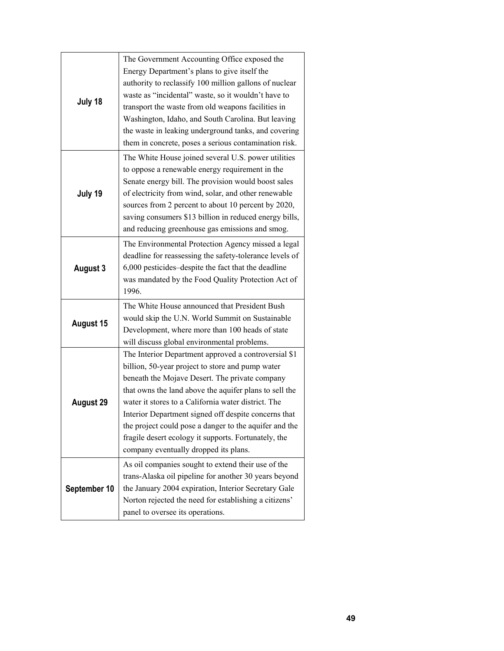| July 18      | The Government Accounting Office exposed the<br>Energy Department's plans to give itself the<br>authority to reclassify 100 million gallons of nuclear<br>waste as "incidental" waste, so it wouldn't have to<br>transport the waste from old weapons facilities in<br>Washington, Idaho, and South Carolina. But leaving<br>the waste in leaking underground tanks, and covering                                                                                                              |
|--------------|------------------------------------------------------------------------------------------------------------------------------------------------------------------------------------------------------------------------------------------------------------------------------------------------------------------------------------------------------------------------------------------------------------------------------------------------------------------------------------------------|
| July 19      | them in concrete, poses a serious contamination risk.<br>The White House joined several U.S. power utilities<br>to oppose a renewable energy requirement in the<br>Senate energy bill. The provision would boost sales<br>of electricity from wind, solar, and other renewable<br>sources from 2 percent to about 10 percent by 2020,<br>saving consumers \$13 billion in reduced energy bills,<br>and reducing greenhouse gas emissions and smog.                                             |
| August 3     | The Environmental Protection Agency missed a legal<br>deadline for reassessing the safety-tolerance levels of<br>6,000 pesticides-despite the fact that the deadline<br>was mandated by the Food Quality Protection Act of<br>1996.                                                                                                                                                                                                                                                            |
| August 15    | The White House announced that President Bush<br>would skip the U.N. World Summit on Sustainable<br>Development, where more than 100 heads of state<br>will discuss global environmental problems.                                                                                                                                                                                                                                                                                             |
| August 29    | The Interior Department approved a controversial \$1<br>billion, 50-year project to store and pump water<br>beneath the Mojave Desert. The private company<br>that owns the land above the aquifer plans to sell the<br>water it stores to a California water district. The<br>Interior Department signed off despite concerns that<br>the project could pose a danger to the aquifer and the<br>fragile desert ecology it supports. Fortunately, the<br>company eventually dropped its plans. |
| September 10 | As oil companies sought to extend their use of the<br>trans-Alaska oil pipeline for another 30 years beyond<br>the January 2004 expiration, Interior Secretary Gale<br>Norton rejected the need for establishing a citizens'<br>panel to oversee its operations.                                                                                                                                                                                                                               |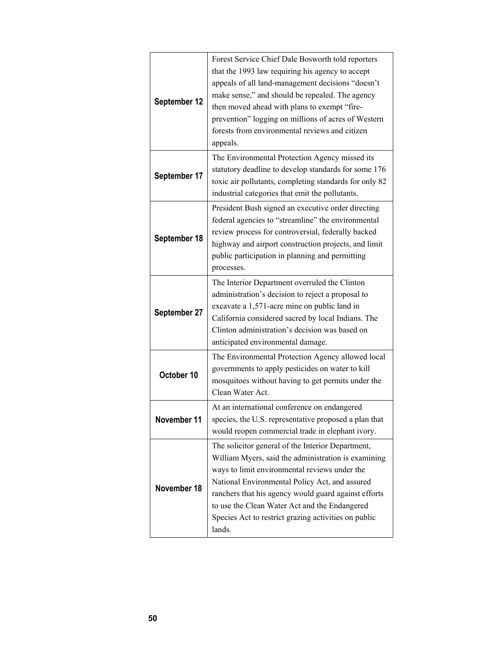| September 12 | Forest Service Chief Dale Bosworth told reporters<br>that the 1993 law requiring his agency to accept<br>appeals of all land-management decisions "doesn't<br>make sense," and should be repealed. The agency<br>then moved ahead with plans to exempt "fire-<br>prevention" logging on millions of acres of Western<br>forests from environmental reviews and citizen<br>appeals.     |
|--------------|----------------------------------------------------------------------------------------------------------------------------------------------------------------------------------------------------------------------------------------------------------------------------------------------------------------------------------------------------------------------------------------|
| September 17 | The Environmental Protection Agency missed its<br>statutory deadline to develop standards for some 176<br>toxic air pollutants, completing standards for only 82<br>industrial categories that emit the pollutants.                                                                                                                                                                    |
| September 18 | President Bush signed an executive order directing<br>federal agencies to "streamline" the environmental<br>review process for controversial, federally backed<br>highway and airport construction projects, and limit<br>public participation in planning and permitting<br>processes.                                                                                                |
| September 27 | The Interior Department overruled the Clinton<br>administration's decision to reject a proposal to<br>excavate a 1,571-acre mine on public land in<br>California considered sacred by local Indians. The<br>Clinton administration's decision was based on<br>anticipated environmental damage.                                                                                        |
| October 10   | The Environmental Protection Agency allowed local<br>governments to apply pesticides on water to kill<br>mosquitoes without having to get permits under the<br>Clean Water Act.                                                                                                                                                                                                        |
| November 11  | At an international conference on endangered<br>species, the U.S. representative proposed a plan that<br>would reopen commercial trade in elephant ivory.                                                                                                                                                                                                                              |
| November 18  | The solicitor general of the Interior Department,<br>William Myers, said the administration is examining<br>ways to limit environmental reviews under the<br>National Environmental Policy Act, and assured<br>ranchers that his agency would guard against efforts<br>to use the Clean Water Act and the Endangered<br>Species Act to restrict grazing activities on public<br>lands. |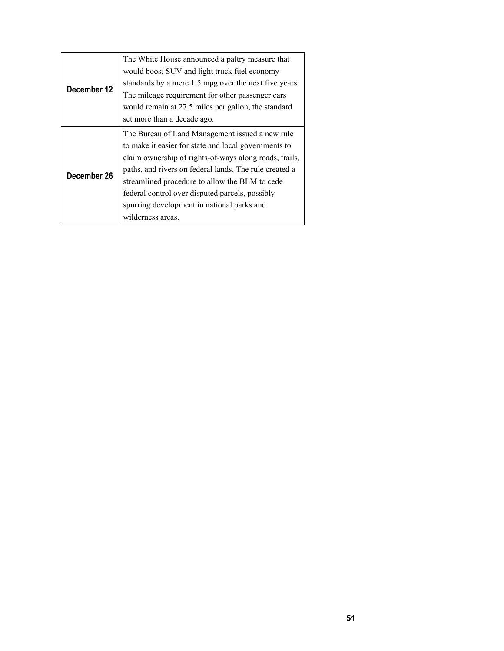| December 12 | The White House announced a paltry measure that<br>would boost SUV and light truck fuel economy<br>standards by a mere 1.5 mpg over the next five years.<br>The mileage requirement for other passenger cars<br>would remain at 27.5 miles per gallon, the standard<br>set more than a decade ago.                                                                                                  |
|-------------|-----------------------------------------------------------------------------------------------------------------------------------------------------------------------------------------------------------------------------------------------------------------------------------------------------------------------------------------------------------------------------------------------------|
| December 26 | The Bureau of Land Management issued a new rule<br>to make it easier for state and local governments to<br>claim ownership of rights-of-ways along roads, trails,<br>paths, and rivers on federal lands. The rule created a<br>streamlined procedure to allow the BLM to cede<br>federal control over disputed parcels, possibly<br>spurring development in national parks and<br>wilderness areas. |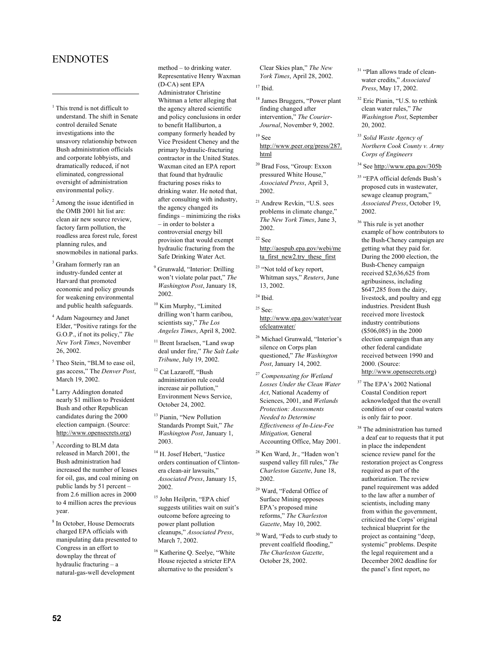# ENDNOTES

1

- <sup>1</sup> This trend is not difficult to understand. The shift in Senate control derailed Senate investigations into the unsavory relationship between Bush administration officials and corporate lobbyists, and dramatically reduced, if not eliminated, congressional oversight of administration environmental policy.
- 2 Among the issue identified in the OMB 2001 hit list are: clean air new source review, factory farm pollution, the roadless area forest rule, forest planning rules, and snowmobiles in national parks.
- 3 Graham formerly ran an industry-funded center at Harvard that promoted economic and policy grounds for weakening environmental and public health safeguards.
- 4 Adam Nagourney and Janet Elder, "Positive ratings for the G.O.P., if not its policy," *The New York Times*, November 26, 2002.
- <sup>5</sup> Theo Stein, "BLM to ease oil, gas access," The *Denver Post*, March 19, 2002.
- 6 Larry Addington donated nearly \$1 million to President Bush and other Republican candidates during the 2000 election campaign. (Source: http://www.opensecrets.org)
- 7 According to BLM data released in March 2001, the Bush administration had increased the number of leases for oil, gas, and coal mining on public lands by 51 percent – from 2.6 million acres in 2000 to 4 million acres the previous year.
- 8 In October, House Democrats charged EPA officials with manipulating data presented to Congress in an effort to downplay the threat of hydraulic fracturing – a natural-gas-well development

method – to drinking water. Representative Henry Waxman (D-CA) sent EPA Administrator Christine Whitman a letter alleging that the agency altered scientific and policy conclusions in order to benefit Halliburton, a company formerly headed by Vice President Cheney and the primary hydraulic-fracturing contractor in the United States. Waxman cited an EPA report that found that hydraulic fracturing poses risks to drinking water. He noted that, after consulting with industry, the agency changed its findings – minimizing the risks – in order to bolster a controversial energy bill provision that would exempt hydraulic fracturing from the Safe Drinking Water Act.

- <sup>9</sup> Grunwald, "Interior: Drilling won't violate polar pact," *The Washington Post*, January 18, 2002.
- <sup>10</sup> Kim Murphy, "Limited drilling won't harm caribou, scientists say," *The Los Angeles Times*, April 8, 2002.
- <sup>11</sup> Brent Israelsen, "Land swap deal under fire," *The Salt Lake Tribune*, July 19, 2002.
- <sup>12</sup> Cat Lazaroff, "Bush administration rule could increase air pollution," Environment News Service, October 24, 2002.
- <sup>13</sup> Pianin, "New Pollution Standards Prompt Suit," *The Washington Post*, January 1, 2003.
- <sup>14</sup> H. Josef Hebert, "Justice orders continuation of Clintonera clean-air lawsuits," *Associated Press*, January 15, 2002.
- <sup>15</sup> John Heilprin, "EPA chief suggests utilities wait on suit's outcome before agreeing to power plant pollution cleanups," *Associated Press*, March 7, 2002.
- <sup>16</sup> Katherine Q. Seelye, "White House rejected a stricter EPA alternative to the president's

Clear Skies plan," *The New York Times*, April 28, 2002.

## $17$  Ibid.

- 18 James Bruggers, "Power plant finding changed after intervention," *The Courier-Journal*, November 9, 2002.
- 19 See http://www.peer.org/press/287. html
- 20 Brad Foss, "Group: Exxon pressured White House," *Associated Press*, April 3, 2002.
- 21 Andrew Revkin, "U.S. sees problems in climate change," *The New York Times*, June 3, 2002.
- $^\mathrm{22}$  See

#### http://aospub.epa.gov/webi/me ta\_first\_new2.try\_these\_first

- <sup>23</sup> "Not told of key report, Whitman says," *Reuters*, June 13, 2002.
- $24$  Ibid.

 $25$  See: http://www.epa.gov/water/year ofcleanwater/

- 26 Michael Grunwald, "Interior's silence on Corps plan questioned," *The Washington Post*, January 14, 2002.
- <sup>27</sup> *Compensating for Wetland Losses Under the Clean Water Act*, National Academy of Sciences, 2001, and *Wetlands Protection: Assessments Needed to Determine Effectiveness of In-Lieu-Fee Mitigation,* General Accounting Office, May 2001.
- 28 Ken Ward, Jr., "Haden won't suspend valley fill rules," *The Charleston Gazette*, June 18, 2002.
- 29 Ward, "Federal Office of Surface Mining opposes EPA's proposed mine reforms," *The Charleston Gazette*, May 10, 2002.
- 30 Ward, "Feds to curb study to prevent coalfield flooding,' *The Charleston Gazette*, October 28, 2002.
- <sup>31</sup> "Plan allows trade of cleanwater credits," *Associated Press*, May 17, 2002.
- 32 Eric Pianin, "U.S. to rethink clean water rules," *The Washington Post*, September 20, 2002.
- <sup>33</sup> *Solid Waste Agency of Northern Cook County v. Army Corps of Engineers*
- 34 See http://www.epa.gov/305b
- 35 "EPA official defends Bush's proposed cuts in wastewater, sewage cleanup program," *Associated Press*, October 19, 2002.
- <sup>36</sup> This rule is yet another example of how contributors to the Bush-Cheney campaign are getting what they paid for. During the 2000 election, the Bush-Cheney campaign received \$2,636,625 from agribusiness, including \$647,285 from the dairy, livestock, and poultry and egg industries. President Bush received more livestock industry contributions (\$506,085) in the 2000 election campaign than any other federal candidate received between 1990 and 2000. (Source: http://www.opensecrets.org)
- <sup>37</sup> The EPA's 2002 National Coastal Condition report acknowledged that the overall condition of our coastal waters is only fair to poor.
- 38 The administration has turned a deaf ear to requests that it put in place the independent science review panel for the restoration project as Congress required as part of the authorization. The review panel requirement was added to the law after a number of scientists, including many from within the government, criticized the Corps' original technical blueprint for the project as containing "deep, systemic" problems. Despite the legal requirement and a December 2002 deadline for the panel's first report, no